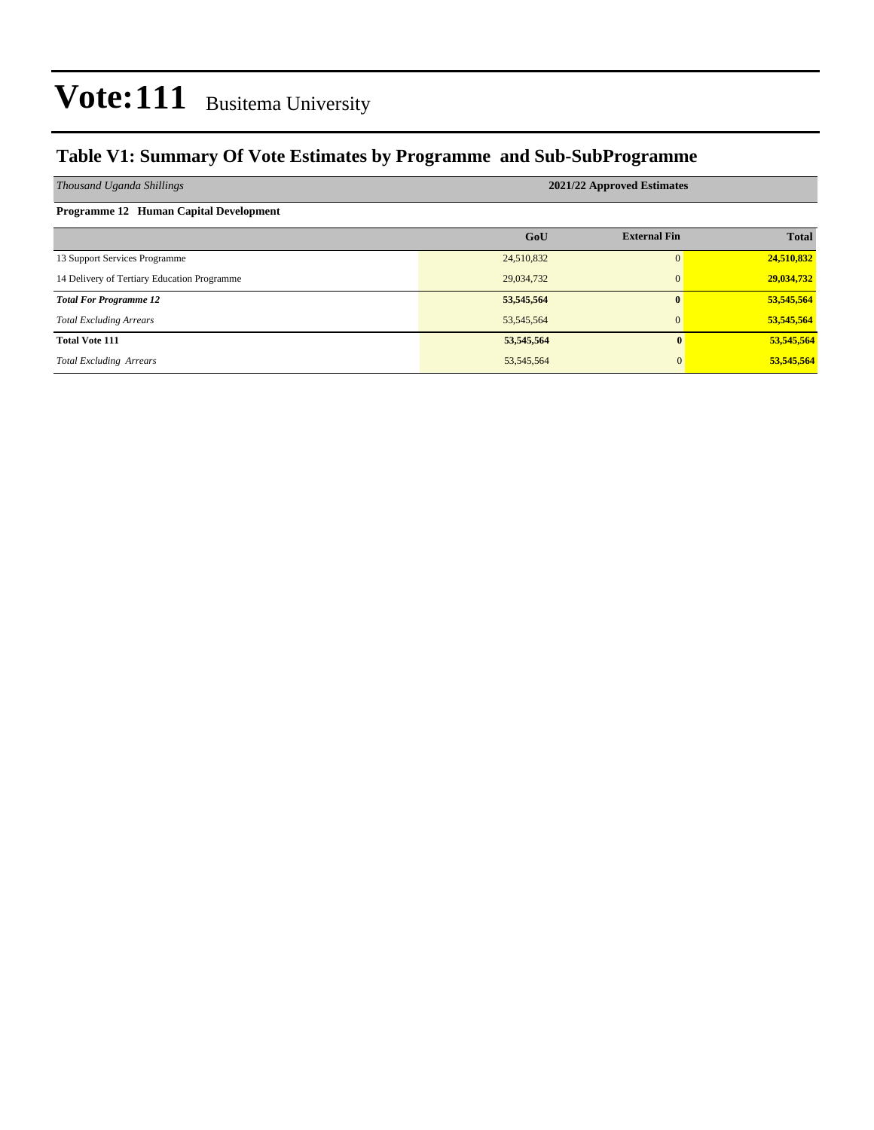### **Table V1: Summary Of Vote Estimates by Programme and Sub-SubProgramme**

| Thousand Uganda Shillings                   | 2021/22 Approved Estimates |                     |              |  |  |  |  |  |
|---------------------------------------------|----------------------------|---------------------|--------------|--|--|--|--|--|
| Programme 12 Human Capital Development      |                            |                     |              |  |  |  |  |  |
|                                             | GoU                        | <b>External Fin</b> | <b>Total</b> |  |  |  |  |  |
| 13 Support Services Programme               | 24,510,832                 | $\Omega$            | 24,510,832   |  |  |  |  |  |
| 14 Delivery of Tertiary Education Programme | 29,034,732                 | $\mathbf{0}$        | 29,034,732   |  |  |  |  |  |
| <b>Total For Programme 12</b>               | 53,545,564                 | $\mathbf{0}$        | 53,545,564   |  |  |  |  |  |
| <b>Total Excluding Arrears</b>              | 53, 545, 564               | $\mathbf{0}$        | 53,545,564   |  |  |  |  |  |
| <b>Total Vote 111</b>                       | 53,545,564                 | $\mathbf{0}$        | 53,545,564   |  |  |  |  |  |
| <b>Total Excluding Arrears</b>              | 53, 545, 564               |                     | 53,545,564   |  |  |  |  |  |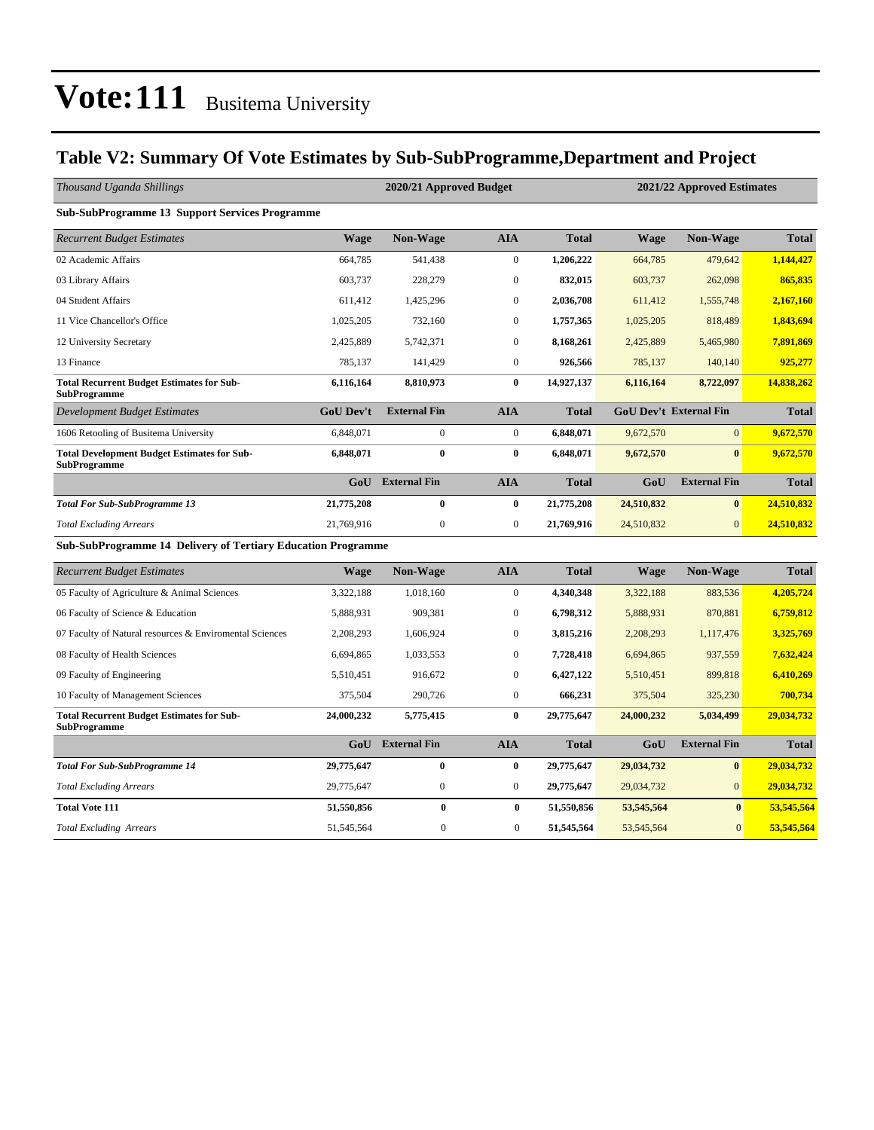### **Table V2: Summary Of Vote Estimates by Sub-SubProgramme,Department and Project**

| Thousand Uganda Shillings                                                 |                  | 2020/21 Approved Budget |                  | 2021/22 Approved Estimates |              |                               |              |  |
|---------------------------------------------------------------------------|------------------|-------------------------|------------------|----------------------------|--------------|-------------------------------|--------------|--|
| <b>Sub-SubProgramme 13 Support Services Programme</b>                     |                  |                         |                  |                            |              |                               |              |  |
| <b>Recurrent Budget Estimates</b>                                         | <b>Wage</b>      | <b>Non-Wage</b>         | <b>AIA</b>       | <b>Total</b>               | <b>Wage</b>  | <b>Non-Wage</b>               | <b>Total</b> |  |
| 02 Academic Affairs                                                       | 664,785          | 541,438                 | $\boldsymbol{0}$ | 1,206,222                  | 664,785      | 479,642                       | 1,144,427    |  |
| 03 Library Affairs                                                        | 603,737          | 228,279                 | $\boldsymbol{0}$ | 832,015                    | 603,737      | 262,098                       | 865,835      |  |
| 04 Student Affairs                                                        | 611,412          | 1,425,296               | $\mathbf{0}$     | 2,036,708                  | 611,412      | 1,555,748                     | 2,167,160    |  |
| 11 Vice Chancellor's Office                                               | 1,025,205        | 732,160                 | $\boldsymbol{0}$ | 1,757,365                  | 1,025,205    | 818,489                       | 1,843,694    |  |
| 12 University Secretary                                                   | 2,425,889        | 5,742,371               | $\mathbf{0}$     | 8,168,261                  | 2,425,889    | 5,465,980                     | 7,891,869    |  |
| 13 Finance                                                                | 785,137          | 141,429                 | $\mathbf{0}$     | 926,566                    | 785,137      | 140,140                       | 925,277      |  |
| <b>Total Recurrent Budget Estimates for Sub-</b><br><b>SubProgramme</b>   | 6,116,164        | 8,810,973               | $\bf{0}$         | 14,927,137                 | 6,116,164    | 8,722,097                     | 14,838,262   |  |
| <b>Development Budget Estimates</b>                                       | <b>GoU Dev't</b> | <b>External Fin</b>     | <b>AIA</b>       | <b>Total</b>               |              | <b>GoU Dev't External Fin</b> | <b>Total</b> |  |
| 1606 Retooling of Busitema University                                     | 6,848,071        | $\mathbf{0}$            | $\mathbf{0}$     | 6,848,071                  | 9,672,570    | $\Omega$                      | 9,672,570    |  |
| <b>Total Development Budget Estimates for Sub-</b><br><b>SubProgramme</b> | 6,848,071        | $\bf{0}$                | $\bf{0}$         | 6,848,071                  | 9,672,570    | $\mathbf{0}$                  | 9,672,570    |  |
|                                                                           | GoU              | <b>External Fin</b>     | <b>AIA</b>       | <b>Total</b>               | GoU          | <b>External Fin</b>           | <b>Total</b> |  |
| <b>Total For Sub-SubProgramme 13</b>                                      | 21,775,208       | $\bf{0}$                | $\bf{0}$         | 21,775,208                 | 24,510,832   | $\bf{0}$                      | 24,510,832   |  |
| <b>Total Excluding Arrears</b>                                            | 21,769,916       | $\boldsymbol{0}$        | $\boldsymbol{0}$ | 21,769,916                 | 24,510,832   | $\overline{0}$                | 24,510,832   |  |
| <b>Sub-SubProgramme 14 Delivery of Tertiary Education Programme</b>       |                  |                         |                  |                            |              |                               |              |  |
| <b>Recurrent Budget Estimates</b>                                         | Wage             | <b>Non-Wage</b>         | <b>AIA</b>       | <b>Total</b>               | Wage         | <b>Non-Wage</b>               | <b>Total</b> |  |
| 05 Faculty of Agriculture & Animal Sciences                               | 3,322,188        | 1,018,160               | $\boldsymbol{0}$ | 4,340,348                  | 3,322,188    | 883,536                       | 4,205,724    |  |
| 06 Faculty of Science & Education                                         | 5,888,931        | 909,381                 | $\boldsymbol{0}$ | 6,798,312                  | 5,888,931    | 870,881                       | 6,759,812    |  |
| 07 Faculty of Natural resources & Enviromental Sciences                   | 2,208,293        | 1,606,924               | $\boldsymbol{0}$ | 3,815,216                  | 2,208,293    | 1,117,476                     | 3,325,769    |  |
| 08 Faculty of Health Sciences                                             | 6,694,865        | 1,033,553               | $\boldsymbol{0}$ | 7,728,418                  | 6,694,865    | 937,559                       | 7,632,424    |  |
| 09 Faculty of Engineering                                                 | 5,510,451        | 916,672                 | $\mathbf{0}$     | 6,427,122                  | 5,510,451    | 899,818                       | 6,410,269    |  |
| 10 Faculty of Management Sciences                                         | 375,504          | 290,726                 | $\mathbf{0}$     | 666,231                    | 375,504      | 325,230                       | 700,734      |  |
| <b>Total Recurrent Budget Estimates for Sub-</b><br><b>SubProgramme</b>   | 24,000,232       | 5,775,415               | $\bf{0}$         | 29,775,647                 | 24,000,232   | 5,034,499                     | 29,034,732   |  |
|                                                                           | GoU              | <b>External Fin</b>     | <b>AIA</b>       | <b>Total</b>               | GoU          | <b>External Fin</b>           | <b>Total</b> |  |
| <b>Total For Sub-SubProgramme 14</b>                                      | 29,775,647       | $\bf{0}$                | $\bf{0}$         | 29,775,647                 | 29,034,732   | $\bf{0}$                      | 29,034,732   |  |
| <b>Total Excluding Arrears</b>                                            | 29,775,647       | $\boldsymbol{0}$        | $\boldsymbol{0}$ | 29,775,647                 | 29,034,732   | $\overline{0}$                | 29,034,732   |  |
| <b>Total Vote 111</b>                                                     | 51,550,856       | $\bf{0}$                | $\bf{0}$         | 51,550,856                 | 53,545,564   | $\bf{0}$                      | 53,545,564   |  |
| <b>Total Excluding Arrears</b>                                            | 51,545,564       | $\boldsymbol{0}$        | $\overline{0}$   | 51,545,564                 | 53, 545, 564 | $\overline{0}$                | 53,545,564   |  |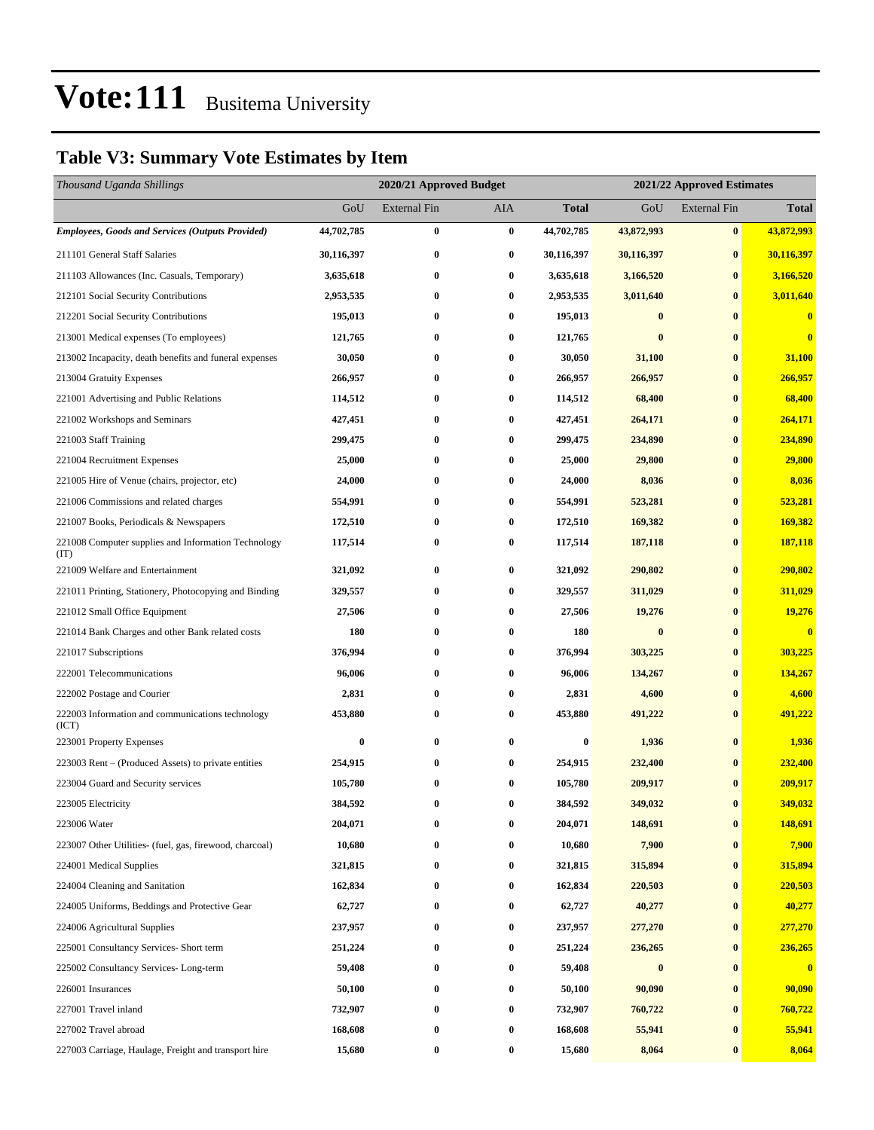### **Table V3: Summary Vote Estimates by Item**

| Thousand Uganda Shillings                                   |            | 2020/21 Approved Budget<br>2021/22 Approved Estimates |            |              |                  |                     |              |
|-------------------------------------------------------------|------------|-------------------------------------------------------|------------|--------------|------------------|---------------------|--------------|
|                                                             | GoU        | External Fin                                          | <b>AIA</b> | <b>Total</b> | GoU              | <b>External Fin</b> | <b>Total</b> |
| <b>Employees, Goods and Services (Outputs Provided)</b>     | 44,702,785 | $\bf{0}$                                              | $\bf{0}$   | 44,702,785   | 43,872,993       | $\bf{0}$            | 43,872,993   |
| 211101 General Staff Salaries                               | 30,116,397 | $\bf{0}$                                              | $\bf{0}$   | 30,116,397   | 30,116,397       | $\bf{0}$            | 30,116,397   |
| 211103 Allowances (Inc. Casuals, Temporary)                 | 3,635,618  | 0                                                     | $\bf{0}$   | 3,635,618    | 3,166,520        | $\bf{0}$            | 3,166,520    |
| 212101 Social Security Contributions                        | 2,953,535  | 0                                                     | $\bf{0}$   | 2,953,535    | 3,011,640        | $\bf{0}$            | 3,011,640    |
| 212201 Social Security Contributions                        | 195,013    | 0                                                     | $\bf{0}$   | 195,013      | $\bf{0}$         | $\bf{0}$            | $\bf{0}$     |
| 213001 Medical expenses (To employees)                      | 121,765    | 0                                                     | $\bf{0}$   | 121,765      | $\bf{0}$         | $\bf{0}$            | $\bf{0}$     |
| 213002 Incapacity, death benefits and funeral expenses      | 30,050     | $\bf{0}$                                              | 0          | 30,050       | 31,100           | $\bf{0}$            | 31,100       |
| 213004 Gratuity Expenses                                    | 266,957    | 0                                                     | $\bf{0}$   | 266,957      | 266,957          | $\bf{0}$            | 266,957      |
| 221001 Advertising and Public Relations                     | 114,512    | $\bf{0}$                                              | $\bf{0}$   | 114,512      | 68,400           | $\bf{0}$            | 68,400       |
| 221002 Workshops and Seminars                               | 427,451    | 0                                                     | $\bf{0}$   | 427,451      | 264,171          | $\bf{0}$            | 264,171      |
| 221003 Staff Training                                       | 299,475    | 0                                                     | $\bf{0}$   | 299,475      | 234,890          | $\bf{0}$            | 234,890      |
| 221004 Recruitment Expenses                                 | 25,000     | $\bf{0}$                                              | 0          | 25,000       | 29,800           | $\bf{0}$            | 29,800       |
| 221005 Hire of Venue (chairs, projector, etc)               | 24,000     | 0                                                     | $\bf{0}$   | 24,000       | 8,036            | $\bf{0}$            | 8,036        |
| 221006 Commissions and related charges                      | 554,991    | $\bf{0}$                                              | $\bf{0}$   | 554,991      | 523,281          | $\bf{0}$            | 523,281      |
| 221007 Books, Periodicals & Newspapers                      | 172,510    | 0                                                     | $\bf{0}$   | 172,510      | 169,382          | $\bf{0}$            | 169,382      |
| 221008 Computer supplies and Information Technology<br>(TT) | 117,514    | $\bf{0}$                                              | $\bf{0}$   | 117,514      | 187,118          | $\bf{0}$            | 187,118      |
| 221009 Welfare and Entertainment                            | 321,092    | 0                                                     | $\bf{0}$   | 321,092      | 290,802          | $\bf{0}$            | 290,802      |
| 221011 Printing, Stationery, Photocopying and Binding       | 329,557    | $\bf{0}$                                              | $\bf{0}$   | 329,557      | 311,029          | $\bf{0}$            | 311,029      |
| 221012 Small Office Equipment                               | 27,506     | 0                                                     | $\bf{0}$   | 27,506       | 19,276           | $\bf{0}$            | 19,276       |
| 221014 Bank Charges and other Bank related costs            | 180        | $\bf{0}$                                              | 0          | 180          | $\bf{0}$         | $\bf{0}$            | $\bf{0}$     |
| 221017 Subscriptions                                        | 376,994    | 0                                                     | $\bf{0}$   | 376,994      | 303,225          | $\bf{0}$            | 303,225      |
| 222001 Telecommunications                                   | 96,006     | 0                                                     | $\bf{0}$   | 96,006       | 134,267          | $\bf{0}$            | 134,267      |
| 222002 Postage and Courier                                  | 2,831      | $\bf{0}$                                              | 0          | 2,831        | 4,600            | $\bf{0}$            | 4,600        |
| 222003 Information and communications technology<br>(ICT)   | 453,880    | 0                                                     | 0          | 453,880      | 491,222          | $\bf{0}$            | 491,222      |
| 223001 Property Expenses                                    | $\bf{0}$   | $\bf{0}$                                              | $\bf{0}$   | $\bf{0}$     | 1,936            | $\bf{0}$            | 1,936        |
| 223003 Rent – (Produced Assets) to private entities         | 254,915    | 0                                                     | $\bf{0}$   | 254,915      | 232,400          | $\bf{0}$            | 232,400      |
| 223004 Guard and Security services                          | 105,780    | 0                                                     | 0          | 105,780      | 209,917          | $\bf{0}$            | 209,917      |
| 223005 Electricity                                          | 384,592    | $\bf{0}$                                              | $\bf{0}$   | 384,592      | 349,032          | $\bf{0}$            | 349,032      |
| 223006 Water                                                | 204,071    | $\bf{0}$                                              | $\bf{0}$   | 204,071      | 148,691          | $\bf{0}$            | 148,691      |
| 223007 Other Utilities- (fuel, gas, firewood, charcoal)     | 10,680     | $\bf{0}$                                              | 0          | 10,680       | 7,900            | $\bf{0}$            | 7,900        |
| 224001 Medical Supplies                                     | 321,815    | $\bf{0}$                                              | $\bf{0}$   | 321,815      | 315,894          | $\bf{0}$            | 315,894      |
| 224004 Cleaning and Sanitation                              | 162,834    | $\bf{0}$                                              | $\bf{0}$   | 162,834      | 220,503          | $\bf{0}$            | 220,503      |
| 224005 Uniforms, Beddings and Protective Gear               | 62,727     | $\bf{0}$                                              | $\bf{0}$   | 62,727       | 40,277           | $\bf{0}$            | 40,277       |
| 224006 Agricultural Supplies                                | 237,957    | $\bf{0}$                                              | $\bf{0}$   | 237,957      | 277,270          | $\bf{0}$            | 277,270      |
| 225001 Consultancy Services- Short term                     | 251,224    | $\bf{0}$                                              | $\bf{0}$   | 251,224      | 236,265          | $\bf{0}$            | 236,265      |
| 225002 Consultancy Services-Long-term                       | 59,408     | $\bf{0}$                                              | $\bf{0}$   | 59,408       | $\boldsymbol{0}$ | $\bf{0}$            | $\bf{0}$     |
| 226001 Insurances                                           | 50,100     | 0                                                     | 0          | 50,100       | 90,090           | $\bf{0}$            | 90,090       |
| 227001 Travel inland                                        | 732,907    | $\bf{0}$                                              | $\bf{0}$   | 732,907      | 760,722          | $\bf{0}$            | 760,722      |
| 227002 Travel abroad                                        | 168,608    | $\bf{0}$                                              | $\bf{0}$   | 168,608      | 55,941           | $\bf{0}$            | 55,941       |
| 227003 Carriage, Haulage, Freight and transport hire        | 15,680     | $\bf{0}$                                              | 0          | 15,680       | 8,064            | $\bf{0}$            | 8,064        |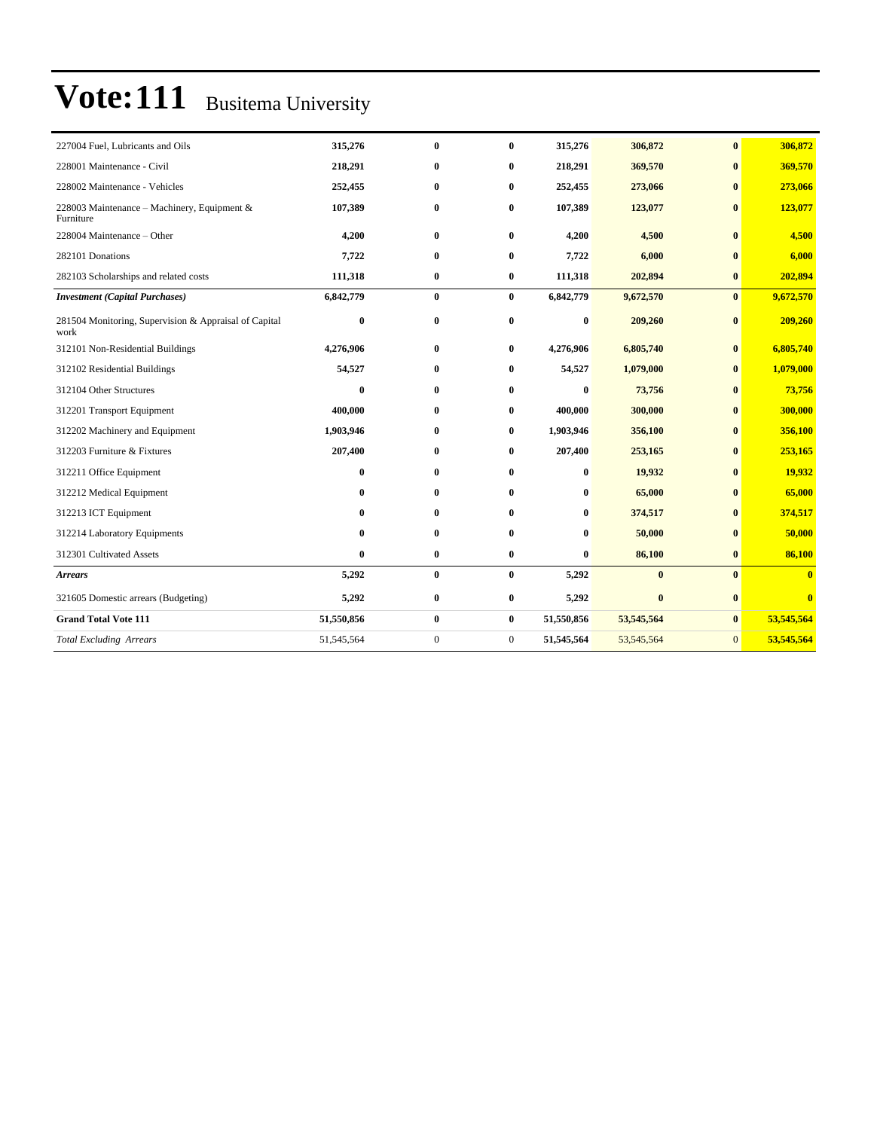| 227004 Fuel, Lubricants and Oils                              | 315,276    | $\bf{0}$     | $\bf{0}$       | 315,276    | 306,872      | $\bf{0}$       | 306,872      |
|---------------------------------------------------------------|------------|--------------|----------------|------------|--------------|----------------|--------------|
| 228001 Maintenance - Civil                                    | 218,291    | $\bf{0}$     | $\bf{0}$       | 218,291    | 369,570      | $\bf{0}$       | 369,570      |
| 228002 Maintenance - Vehicles                                 | 252,455    | $\bf{0}$     | $\bf{0}$       | 252,455    | 273,066      | $\bf{0}$       | 273,066      |
| 228003 Maintenance - Machinery, Equipment &<br>Furniture      | 107,389    | $\bf{0}$     | $\bf{0}$       | 107,389    | 123,077      | $\bf{0}$       | 123,077      |
| 228004 Maintenance - Other                                    | 4,200      | $\bf{0}$     | $\bf{0}$       | 4,200      | 4,500        | $\bf{0}$       | 4,500        |
| 282101 Donations                                              | 7,722      | $\bf{0}$     | $\bf{0}$       | 7,722      | 6,000        | $\mathbf{0}$   | 6,000        |
| 282103 Scholarships and related costs                         | 111,318    | $\bf{0}$     | $\bf{0}$       | 111,318    | 202,894      | $\bf{0}$       | 202,894      |
| <b>Investment</b> (Capital Purchases)                         | 6,842,779  | $\bf{0}$     | $\bf{0}$       | 6,842,779  | 9,672,570    | $\bf{0}$       | 9,672,570    |
| 281504 Monitoring, Supervision & Appraisal of Capital<br>work | $\bf{0}$   | $\bf{0}$     | $\bf{0}$       | $\bf{0}$   | 209,260      | $\bf{0}$       | 209,260      |
| 312101 Non-Residential Buildings                              | 4,276,906  | $\bf{0}$     | $\bf{0}$       | 4,276,906  | 6,805,740    | $\bf{0}$       | 6,805,740    |
| 312102 Residential Buildings                                  | 54,527     | $\bf{0}$     | 0              | 54,527     | 1,079,000    | $\bf{0}$       | 1,079,000    |
| 312104 Other Structures                                       | $\bf{0}$   | $\bf{0}$     | $\bf{0}$       | $\bf{0}$   | 73,756       | $\bf{0}$       | 73,756       |
| 312201 Transport Equipment                                    | 400,000    | $\mathbf{0}$ | $\bf{0}$       | 400,000    | 300,000      | $\mathbf{0}$   | 300,000      |
| 312202 Machinery and Equipment                                | 1,903,946  | $\bf{0}$     | $\bf{0}$       | 1,903,946  | 356,100      | $\mathbf{0}$   | 356,100      |
| 312203 Furniture & Fixtures                                   | 207,400    | $\mathbf{0}$ | $\bf{0}$       | 207,400    | 253,165      | $\mathbf{0}$   | 253,165      |
| 312211 Office Equipment                                       | $\bf{0}$   | $\bf{0}$     | $\bf{0}$       | $\bf{0}$   | 19,932       | $\mathbf{0}$   | 19,932       |
| 312212 Medical Equipment                                      | 0          | $\mathbf{0}$ | $\bf{0}$       | $\bf{0}$   | 65,000       | $\mathbf{0}$   | 65,000       |
| 312213 ICT Equipment                                          | 0          | $\mathbf{0}$ | $\bf{0}$       | $\bf{0}$   | 374,517      | $\mathbf{0}$   | 374,517      |
| 312214 Laboratory Equipments                                  | $\bf{0}$   | $\bf{0}$     | $\bf{0}$       | $\bf{0}$   | 50,000       | $\bf{0}$       | 50,000       |
| 312301 Cultivated Assets                                      | $\bf{0}$   | $\bf{0}$     | $\bf{0}$       | $\bf{0}$   | 86,100       | $\bf{0}$       | 86,100       |
| <b>Arrears</b>                                                | 5,292      | $\bf{0}$     | $\bf{0}$       | 5,292      | $\mathbf{0}$ | $\mathbf{0}$   | $\mathbf{0}$ |
| 321605 Domestic arrears (Budgeting)                           | 5,292      | $\bf{0}$     | $\bf{0}$       | 5,292      | $\bf{0}$     | $\bf{0}$       | $\mathbf{0}$ |
| <b>Grand Total Vote 111</b>                                   | 51,550,856 | $\bf{0}$     | $\bf{0}$       | 51,550,856 | 53,545,564   | $\bf{0}$       | 53,545,564   |
| <b>Total Excluding Arrears</b>                                | 51,545,564 | $\mathbf{0}$ | $\overline{0}$ | 51,545,564 | 53,545,564   | $\overline{0}$ | 53,545,564   |
|                                                               |            |              |                |            |              |                |              |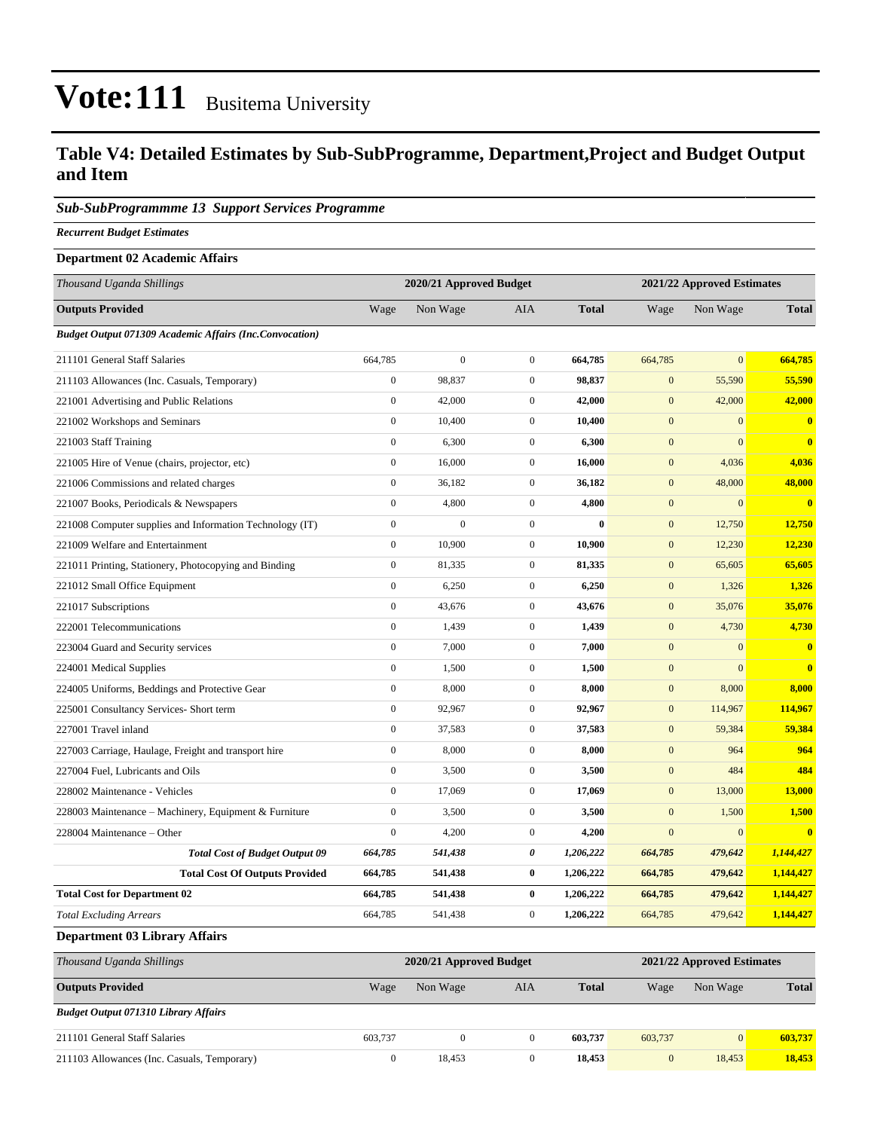### **Table V4: Detailed Estimates by Sub-SubProgramme, Department,Project and Budget Output and Item**

#### *Sub-SubProgrammme 13 Support Services Programme*

*Recurrent Budget Estimates*

#### **Department 02 Academic Affairs**

| Thousand Uganda Shillings                                      |                  | 2020/21 Approved Budget |                  | 2021/22 Approved Estimates |                  |              |                         |
|----------------------------------------------------------------|------------------|-------------------------|------------------|----------------------------|------------------|--------------|-------------------------|
| <b>Outputs Provided</b>                                        | Wage             | Non Wage                | AIA              | <b>Total</b>               | Wage             | Non Wage     | <b>Total</b>            |
| <b>Budget Output 071309 Academic Affairs (Inc.Convocation)</b> |                  |                         |                  |                            |                  |              |                         |
| 211101 General Staff Salaries                                  | 664,785          | $\boldsymbol{0}$        | $\mathbf{0}$     | 664,785                    | 664,785          | $\mathbf{0}$ | 664,785                 |
| 211103 Allowances (Inc. Casuals, Temporary)                    | $\boldsymbol{0}$ | 98,837                  | $\overline{0}$   | 98,837                     | $\mathbf{0}$     | 55,590       | 55,590                  |
| 221001 Advertising and Public Relations                        | $\mathbf{0}$     | 42,000                  | $\boldsymbol{0}$ | 42,000                     | $\mathbf{0}$     | 42,000       | 42,000                  |
| 221002 Workshops and Seminars                                  | $\mathbf{0}$     | 10,400                  | $\boldsymbol{0}$ | 10,400                     | $\mathbf{0}$     | $\mathbf{0}$ | $\mathbf{0}$            |
| 221003 Staff Training                                          | $\mathbf{0}$     | 6,300                   | $\overline{0}$   | 6,300                      | $\mathbf{0}$     | $\mathbf{0}$ | $\mathbf{0}$            |
| 221005 Hire of Venue (chairs, projector, etc)                  | $\mathbf{0}$     | 16,000                  | $\boldsymbol{0}$ | 16,000                     | $\mathbf{0}$     | 4,036        | 4,036                   |
| 221006 Commissions and related charges                         | $\mathbf{0}$     | 36,182                  | $\boldsymbol{0}$ | 36,182                     | $\mathbf{0}$     | 48,000       | 48,000                  |
| 221007 Books, Periodicals & Newspapers                         | $\mathbf{0}$     | 4,800                   | $\boldsymbol{0}$ | 4,800                      | $\mathbf{0}$     | $\mathbf{0}$ | $\overline{\mathbf{0}}$ |
| 221008 Computer supplies and Information Technology (IT)       | $\mathbf{0}$     | $\overline{0}$          | $\overline{0}$   | $\bf{0}$                   | $\mathbf{0}$     | 12,750       | 12,750                  |
| 221009 Welfare and Entertainment                               | $\mathbf{0}$     | 10,900                  | $\boldsymbol{0}$ | 10,900                     | $\mathbf{0}$     | 12,230       | 12,230                  |
| 221011 Printing, Stationery, Photocopying and Binding          | $\mathbf{0}$     | 81,335                  | $\overline{0}$   | 81,335                     | $\mathbf{0}$     | 65,605       | 65,605                  |
| 221012 Small Office Equipment                                  | $\mathbf{0}$     | 6,250                   | $\overline{0}$   | 6,250                      | $\boldsymbol{0}$ | 1,326        | 1,326                   |
| 221017 Subscriptions                                           | $\boldsymbol{0}$ | 43,676                  | $\overline{0}$   | 43,676                     | $\mathbf{0}$     | 35,076       | 35,076                  |
| 222001 Telecommunications                                      | $\boldsymbol{0}$ | 1,439                   | $\boldsymbol{0}$ | 1,439                      | $\boldsymbol{0}$ | 4,730        | 4,730                   |
| 223004 Guard and Security services                             | $\boldsymbol{0}$ | 7,000                   | $\boldsymbol{0}$ | 7,000                      | $\boldsymbol{0}$ | $\mathbf{0}$ | $\overline{\mathbf{0}}$ |
| 224001 Medical Supplies                                        | $\boldsymbol{0}$ | 1,500                   | $\overline{0}$   | 1,500                      | $\boldsymbol{0}$ | $\mathbf{0}$ | $\bf{0}$                |
| 224005 Uniforms, Beddings and Protective Gear                  | $\boldsymbol{0}$ | 8,000                   | $\overline{0}$   | 8,000                      | $\boldsymbol{0}$ | 8,000        | 8,000                   |
| 225001 Consultancy Services- Short term                        | $\boldsymbol{0}$ | 92,967                  | $\overline{0}$   | 92,967                     | $\mathbf{0}$     | 114,967      | 114,967                 |
| 227001 Travel inland                                           | $\boldsymbol{0}$ | 37,583                  | $\boldsymbol{0}$ | 37,583                     | $\boldsymbol{0}$ | 59,384       | 59,384                  |
| 227003 Carriage, Haulage, Freight and transport hire           | $\boldsymbol{0}$ | 8,000                   | $\overline{0}$   | 8,000                      | $\mathbf{0}$     | 964          | 964                     |
| 227004 Fuel, Lubricants and Oils                               | $\boldsymbol{0}$ | 3,500                   | $\boldsymbol{0}$ | 3,500                      | $\mathbf{0}$     | 484          | 484                     |
| 228002 Maintenance - Vehicles                                  | $\boldsymbol{0}$ | 17,069                  | $\overline{0}$   | 17,069                     | $\boldsymbol{0}$ | 13,000       | 13,000                  |
| 228003 Maintenance – Machinery, Equipment & Furniture          | $\boldsymbol{0}$ | 3,500                   | $\overline{0}$   | 3,500                      | $\mathbf{0}$     | 1,500        | 1,500                   |
| 228004 Maintenance - Other                                     | $\boldsymbol{0}$ | 4,200                   | $\overline{0}$   | 4,200                      | $\mathbf{0}$     | $\mathbf{0}$ | $\overline{\mathbf{0}}$ |
| <b>Total Cost of Budget Output 09</b>                          | 664,785          | 541,438                 | 0                | 1,206,222                  | 664,785          | 479,642      | 1,144,427               |
| <b>Total Cost Of Outputs Provided</b>                          | 664,785          | 541,438                 | $\bf{0}$         | 1,206,222                  | 664,785          | 479,642      | 1,144,427               |
| <b>Total Cost for Department 02</b>                            | 664,785          | 541,438                 | $\bf{0}$         | 1,206,222                  | 664,785          | 479,642      | 1,144,427               |
| <b>Total Excluding Arrears</b>                                 | 664,785          | 541,438                 | $\boldsymbol{0}$ | 1,206,222                  | 664,785          | 479,642      | 1,144,427               |
| <b>Department 03 Library Affairs</b>                           |                  |                         |                  |                            |                  |              |                         |

*Thousand Uganda Shillings* **2020/21 Approved Budget 2021/22 Approved Estimates Outputs Provided** Wage Non Wage AIA **Total** Wage Non Wage **Total** *Budget Output 071310 Library Affairs* 211101 General Staff Salaries 603,737 0 0 **603,737** 603,737 0 **603,737** 211103 Allowances (Inc. Casuals, Temporary) 0 18,453 0 **18,453** 0 18,453 **18,453**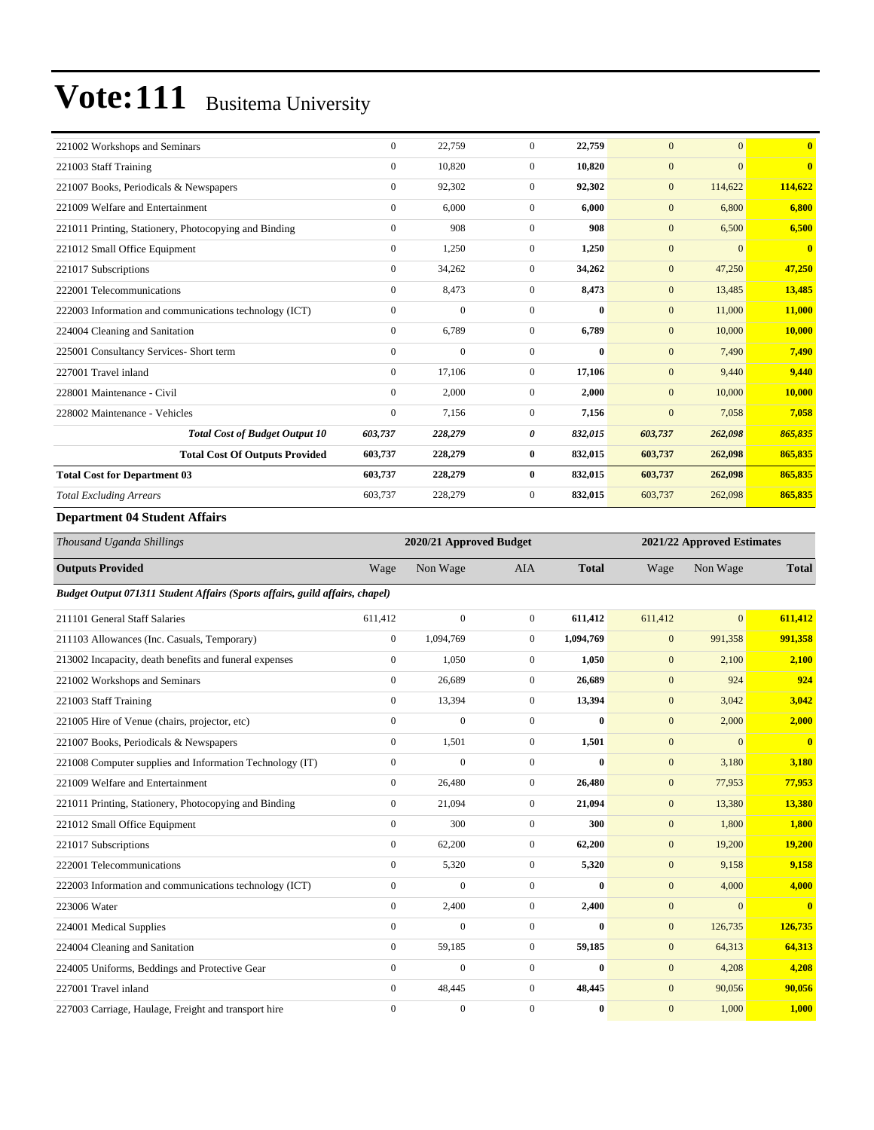| $\mathbf{0}$ | 22,759   | $\Omega$       | 22,759       | $\overline{0}$ | $\overline{0}$ | $\overline{\mathbf{0}}$ |
|--------------|----------|----------------|--------------|----------------|----------------|-------------------------|
| $\mathbf{0}$ | 10,820   | $\mathbf{0}$   | 10,820       | $\mathbf{0}$   | $\overline{0}$ | $\overline{\mathbf{0}}$ |
| $\mathbf{0}$ | 92,302   | $\mathbf{0}$   | 92,302       | $\mathbf{0}$   | 114,622        | 114,622                 |
| $\mathbf{0}$ | 6,000    | $\mathbf{0}$   | 6.000        | $\mathbf{0}$   | 6,800          | 6.800                   |
| $\mathbf{0}$ | 908      | $\Omega$       | 908          | $\mathbf{0}$   | 6,500          | 6,500                   |
| $\mathbf{0}$ | 1,250    | $\mathbf{0}$   | 1,250        | $\mathbf{0}$   | $\overline{0}$ | $\bf{0}$                |
| $\mathbf{0}$ | 34,262   | $\mathbf{0}$   | 34,262       | $\mathbf{0}$   | 47,250         | 47,250                  |
| $\mathbf{0}$ | 8,473    | $\mathbf{0}$   | 8,473        | $\mathbf{0}$   | 13,485         | 13,485                  |
| $\Omega$     | $\Omega$ | $\Omega$       | $\mathbf{0}$ | $\mathbf{0}$   | 11,000         | 11,000                  |
| $\mathbf{0}$ | 6,789    | $\mathbf{0}$   | 6.789        | $\mathbf{0}$   | 10,000         | 10,000                  |
| $\Omega$     | $\Omega$ | $\Omega$       | $\bf{0}$     | $\mathbf{0}$   | 7,490          | 7,490                   |
| $\mathbf{0}$ | 17,106   | $\mathbf{0}$   | 17,106       | $\mathbf{0}$   | 9,440          | 9.440                   |
| $\mathbf{0}$ | 2,000    | $\mathbf{0}$   | 2,000        | $\mathbf{0}$   | 10,000         | 10,000                  |
| $\mathbf{0}$ | 7,156    | $\mathbf{0}$   | 7,156        | $\mathbf{0}$   | 7,058          | 7,058                   |
| 603,737      | 228,279  | 0              | 832,015      | 603,737        | 262,098        | 865,835                 |
| 603,737      | 228,279  | $\bf{0}$       | 832,015      | 603,737        | 262,098        | 865,835                 |
| 603,737      | 228,279  | $\bf{0}$       | 832,015      | 603,737        | 262,098        | 865,835                 |
| 603,737      | 228,279  | $\overline{0}$ | 832,015      | 603,737        | 262,098        | 865,835                 |
|              |          |                |              |                |                |                         |

#### **Department 04 Student Affairs**

| Thousand Uganda Shillings                                                    |                | 2020/21 Approved Budget |                |              |                  | 2021/22 Approved Estimates |                         |
|------------------------------------------------------------------------------|----------------|-------------------------|----------------|--------------|------------------|----------------------------|-------------------------|
| <b>Outputs Provided</b>                                                      | Wage           | Non Wage                | <b>AIA</b>     | <b>Total</b> | Wage             | Non Wage                   | <b>Total</b>            |
| Budget Output 071311 Student Affairs (Sports affairs, guild affairs, chapel) |                |                         |                |              |                  |                            |                         |
| 211101 General Staff Salaries                                                | 611,412        | $\mathbf{0}$            | $\overline{0}$ | 611,412      | 611,412          | $\overline{0}$             | 611,412                 |
| 211103 Allowances (Inc. Casuals, Temporary)                                  | $\overline{0}$ | 1,094,769               | $\Omega$       | 1,094,769    | $\mathbf{0}$     | 991,358                    | 991,358                 |
| 213002 Incapacity, death benefits and funeral expenses                       | $\overline{0}$ | 1,050                   | $\overline{0}$ | 1,050        | $\boldsymbol{0}$ | 2,100                      | 2,100                   |
| 221002 Workshops and Seminars                                                | $\overline{0}$ | 26,689                  | $\overline{0}$ | 26,689       | $\mathbf{0}$     | 924                        | 924                     |
| 221003 Staff Training                                                        | $\mathbf{0}$   | 13,394                  | $\overline{0}$ | 13,394       | $\mathbf{0}$     | 3,042                      | 3,042                   |
| 221005 Hire of Venue (chairs, projector, etc)                                | $\overline{0}$ | $\overline{0}$          | $\overline{0}$ | $\bf{0}$     | $\mathbf{0}$     | 2,000                      | 2,000                   |
| 221007 Books, Periodicals & Newspapers                                       | $\overline{0}$ | 1,501                   | $\overline{0}$ | 1,501        | $\mathbf{0}$     | $\mathbf{0}$               | $\overline{\mathbf{0}}$ |
| 221008 Computer supplies and Information Technology (IT)                     | $\overline{0}$ | $\mathbf{0}$            | $\overline{0}$ | $\bf{0}$     | $\mathbf{0}$     | 3,180                      | 3,180                   |
| 221009 Welfare and Entertainment                                             | $\mathbf{0}$   | 26,480                  | $\overline{0}$ | 26,480       | $\mathbf{0}$     | 77,953                     | 77,953                  |
| 221011 Printing, Stationery, Photocopying and Binding                        | $\mathbf{0}$   | 21,094                  | $\overline{0}$ | 21,094       | $\boldsymbol{0}$ | 13,380                     | 13,380                  |
| 221012 Small Office Equipment                                                | $\Omega$       | 300                     | $\Omega$       | 300          | $\mathbf{0}$     | 1,800                      | 1,800                   |
| 221017 Subscriptions                                                         | $\overline{0}$ | 62,200                  | $\overline{0}$ | 62,200       | $\mathbf{0}$     | 19,200                     | 19,200                  |
| 222001 Telecommunications                                                    | $\mathbf{0}$   | 5,320                   | $\overline{0}$ | 5,320        | $\mathbf{0}$     | 9,158                      | 9,158                   |
| 222003 Information and communications technology (ICT)                       | $\mathbf{0}$   | $\mathbf{0}$            | $\Omega$       | $\mathbf{0}$ | $\mathbf{0}$     | 4,000                      | 4,000                   |
| 223006 Water                                                                 | $\mathbf{0}$   | 2,400                   | $\mathbf{0}$   | 2,400        | $\boldsymbol{0}$ | $\Omega$                   | $\overline{\mathbf{0}}$ |
| 224001 Medical Supplies                                                      | $\mathbf{0}$   | $\overline{0}$          | $\overline{0}$ | $\bf{0}$     | $\mathbf{0}$     | 126,735                    | 126,735                 |
| 224004 Cleaning and Sanitation                                               | $\mathbf{0}$   | 59,185                  | $\overline{0}$ | 59,185       | $\mathbf{0}$     | 64,313                     | 64,313                  |
| 224005 Uniforms, Beddings and Protective Gear                                | $\mathbf{0}$   | $\mathbf{0}$            | $\Omega$       | $\mathbf{0}$ | $\mathbf{0}$     | 4,208                      | 4,208                   |
| 227001 Travel inland                                                         | $\mathbf{0}$   | 48,445                  | $\overline{0}$ | 48,445       | $\mathbf{0}$     | 90,056                     | 90,056                  |
| 227003 Carriage, Haulage, Freight and transport hire                         | $\Omega$       | $\mathbf{0}$            | $\Omega$       | $\bf{0}$     | $\mathbf{0}$     | 1,000                      | 1,000                   |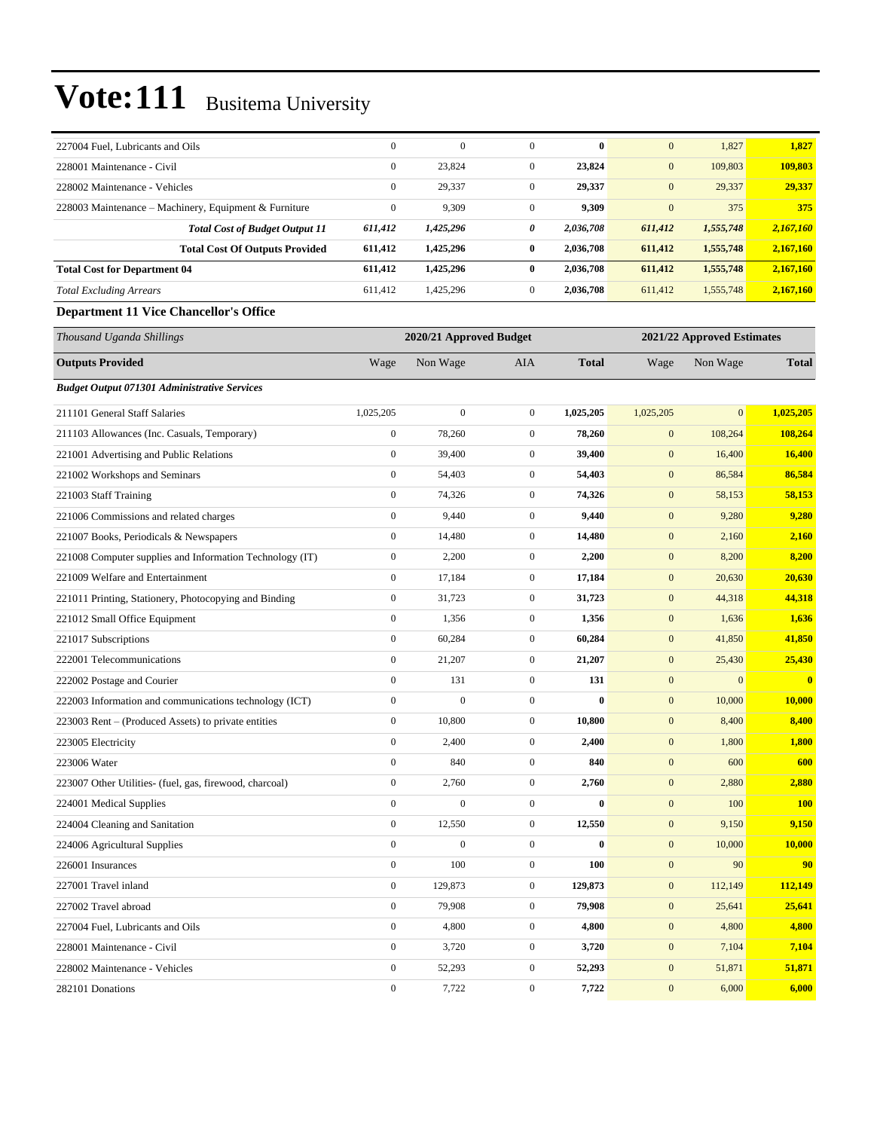| 227004 Fuel, Lubricants and Oils                         | $\mathbf{0}$     | $\mathbf{0}$            | $\mathbf{0}$     | $\bf{0}$     | $\mathbf{0}$     | 1,827                      | 1,827         |
|----------------------------------------------------------|------------------|-------------------------|------------------|--------------|------------------|----------------------------|---------------|
| 228001 Maintenance - Civil                               | $\boldsymbol{0}$ | 23,824                  | $\boldsymbol{0}$ | 23,824       | $\mathbf{0}$     | 109,803                    | 109,803       |
| 228002 Maintenance - Vehicles                            | $\boldsymbol{0}$ | 29,337                  | $\boldsymbol{0}$ | 29,337       | $\mathbf{0}$     | 29,337                     | 29,337        |
| 228003 Maintenance - Machinery, Equipment & Furniture    | $\boldsymbol{0}$ | 9,309                   | $\mathbf{0}$     | 9,309        | $\mathbf{0}$     | 375                        | 375           |
| <b>Total Cost of Budget Output 11</b>                    | 611,412          | 1,425,296               | 0                | 2,036,708    | 611,412          | 1,555,748                  | 2,167,160     |
| <b>Total Cost Of Outputs Provided</b>                    | 611,412          | 1,425,296               | $\bf{0}$         | 2,036,708    | 611,412          | 1,555,748                  | 2,167,160     |
| <b>Total Cost for Department 04</b>                      | 611,412          | 1,425,296               | $\bf{0}$         | 2,036,708    | 611,412          | 1,555,748                  | 2,167,160     |
| <b>Total Excluding Arrears</b>                           | 611,412          | 1,425,296               | $\boldsymbol{0}$ | 2,036,708    | 611,412          | 1,555,748                  | 2,167,160     |
| <b>Department 11 Vice Chancellor's Office</b>            |                  |                         |                  |              |                  |                            |               |
| Thousand Uganda Shillings                                |                  | 2020/21 Approved Budget |                  |              |                  | 2021/22 Approved Estimates |               |
| <b>Outputs Provided</b>                                  | Wage             | Non Wage                | AIA              | <b>Total</b> | Wage             | Non Wage                   | <b>Total</b>  |
| <b>Budget Output 071301 Administrative Services</b>      |                  |                         |                  |              |                  |                            |               |
| 211101 General Staff Salaries                            | 1,025,205        | $\boldsymbol{0}$        | $\mathbf{0}$     | 1,025,205    | 1,025,205        | $\mathbf{0}$               | 1,025,205     |
| 211103 Allowances (Inc. Casuals, Temporary)              | $\boldsymbol{0}$ | 78,260                  | $\boldsymbol{0}$ | 78,260       | $\boldsymbol{0}$ | 108,264                    | 108,264       |
| 221001 Advertising and Public Relations                  | $\boldsymbol{0}$ | 39,400                  | $\mathbf{0}$     | 39,400       | $\mathbf{0}$     | 16,400                     | 16,400        |
| 221002 Workshops and Seminars                            | $\boldsymbol{0}$ | 54,403                  | $\boldsymbol{0}$ | 54,403       | $\mathbf{0}$     | 86,584                     | 86,584        |
| 221003 Staff Training                                    | $\boldsymbol{0}$ | 74,326                  | $\mathbf{0}$     | 74,326       | $\boldsymbol{0}$ | 58,153                     | 58,153        |
| 221006 Commissions and related charges                   | $\boldsymbol{0}$ | 9,440                   | $\mathbf{0}$     | 9,440        | $\boldsymbol{0}$ | 9,280                      | 9,280         |
| 221007 Books, Periodicals & Newspapers                   | $\boldsymbol{0}$ | 14,480                  | $\boldsymbol{0}$ | 14,480       | $\boldsymbol{0}$ | 2,160                      | 2,160         |
| 221008 Computer supplies and Information Technology (IT) | $\boldsymbol{0}$ | 2,200                   | $\mathbf{0}$     | 2,200        | $\boldsymbol{0}$ | 8,200                      | 8,200         |
| 221009 Welfare and Entertainment                         | $\boldsymbol{0}$ | 17,184                  | $\boldsymbol{0}$ | 17,184       | $\mathbf{0}$     | 20,630                     | 20,630        |
| 221011 Printing, Stationery, Photocopying and Binding    | $\boldsymbol{0}$ | 31,723                  | $\boldsymbol{0}$ | 31,723       | $\boldsymbol{0}$ | 44,318                     | 44,318        |
| 221012 Small Office Equipment                            | $\boldsymbol{0}$ | 1,356                   | $\mathbf{0}$     | 1,356        | $\boldsymbol{0}$ | 1,636                      | 1,636         |
| 221017 Subscriptions                                     | $\boldsymbol{0}$ | 60,284                  | $\boldsymbol{0}$ | 60,284       | $\boldsymbol{0}$ | 41,850                     | 41,850        |
| 222001 Telecommunications                                | $\boldsymbol{0}$ | 21,207                  | $\mathbf{0}$     | 21,207       | $\boldsymbol{0}$ | 25,430                     | 25,430        |
| 222002 Postage and Courier                               | $\boldsymbol{0}$ | 131                     | $\boldsymbol{0}$ | 131          | $\mathbf{0}$     | $\mathbf{0}$               | $\mathbf{0}$  |
| 222003 Information and communications technology (ICT)   | $\boldsymbol{0}$ | $\boldsymbol{0}$        | $\boldsymbol{0}$ | $\bf{0}$     | $\boldsymbol{0}$ | 10,000                     | <b>10,000</b> |
| 223003 Rent – (Produced Assets) to private entities      | $\boldsymbol{0}$ | 10,800                  | $\boldsymbol{0}$ | 10,800       | $\boldsymbol{0}$ | 8,400                      | 8,400         |
| 223005 Electricity                                       | $\boldsymbol{0}$ | 2,400                   | $\boldsymbol{0}$ | 2,400        | $\boldsymbol{0}$ | 1,800                      | 1,800         |
| 223006 Water                                             | $\boldsymbol{0}$ | 840                     | $\overline{0}$   | 840          | $\mathbf{0}$     | 600                        | 600           |
| 223007 Other Utilities- (fuel, gas, firewood, charcoal)  | $\boldsymbol{0}$ | 2,760                   | $\boldsymbol{0}$ | 2,760        | $\boldsymbol{0}$ | 2,880                      | 2,880         |
| 224001 Medical Supplies                                  | $\boldsymbol{0}$ | $\boldsymbol{0}$        | $\overline{0}$   | $\bf{0}$     | $\boldsymbol{0}$ | 100                        | <b>100</b>    |
| 224004 Cleaning and Sanitation                           | $\boldsymbol{0}$ | 12,550                  | $\boldsymbol{0}$ | 12,550       | $\boldsymbol{0}$ | 9,150                      | 9,150         |
| 224006 Agricultural Supplies                             | $\boldsymbol{0}$ | $\boldsymbol{0}$        | $\boldsymbol{0}$ | $\bf{0}$     | $\boldsymbol{0}$ | 10,000                     | <b>10,000</b> |
| 226001 Insurances                                        | $\boldsymbol{0}$ | 100                     | $\boldsymbol{0}$ | 100          | $\boldsymbol{0}$ | 90                         | 90            |
| 227001 Travel inland                                     | $\boldsymbol{0}$ | 129,873                 | $\boldsymbol{0}$ | 129,873      | $\boldsymbol{0}$ | 112,149                    | 112,149       |
| 227002 Travel abroad                                     | $\boldsymbol{0}$ | 79,908                  | $\boldsymbol{0}$ | 79,908       | $\boldsymbol{0}$ | 25,641                     | 25,641        |
| 227004 Fuel, Lubricants and Oils                         | $\boldsymbol{0}$ | 4,800                   | $\boldsymbol{0}$ | 4,800        | $\boldsymbol{0}$ | 4,800                      | 4,800         |
| 228001 Maintenance - Civil                               | $\boldsymbol{0}$ | 3,720                   | $\boldsymbol{0}$ | 3,720        | $\boldsymbol{0}$ | 7,104                      | 7,104         |
| 228002 Maintenance - Vehicles                            | $\boldsymbol{0}$ | 52,293                  | $\boldsymbol{0}$ | 52,293       | $\boldsymbol{0}$ | 51,871                     | 51,871        |
| 282101 Donations                                         | $\boldsymbol{0}$ | 7,722                   | $\overline{0}$   | 7,722        | $\mathbf{0}$     | 6,000                      | 6,000         |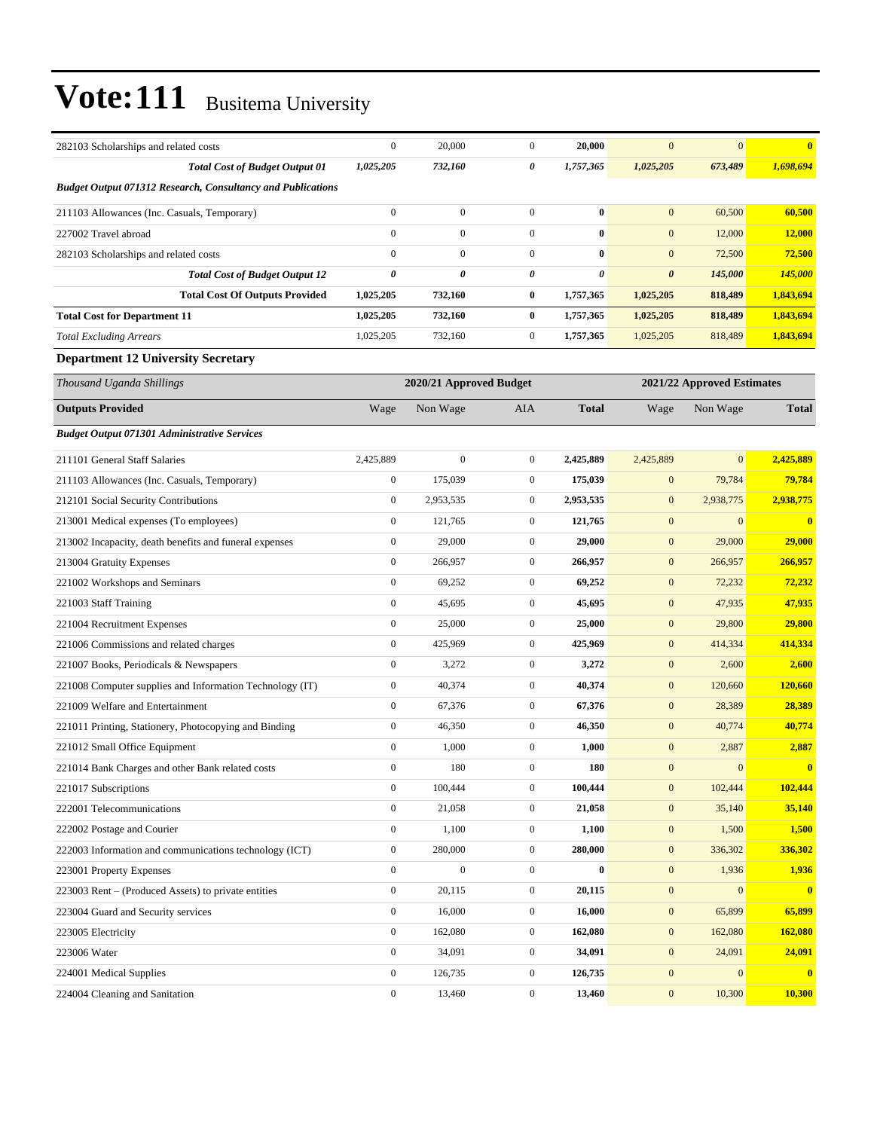| 282103 Scholarships and related costs                              | $\boldsymbol{0}$ | 20,000                  | $\boldsymbol{0}$ | 20,000                | $\mathbf{0}$          | $\overline{0}$             | $\bf{0}$         |
|--------------------------------------------------------------------|------------------|-------------------------|------------------|-----------------------|-----------------------|----------------------------|------------------|
| <b>Total Cost of Budget Output 01</b>                              | 1,025,205        | 732,160                 | 0                | 1,757,365             | 1,025,205             | 673,489                    | 1,698,694        |
| <b>Budget Output 071312 Research, Consultancy and Publications</b> |                  |                         |                  |                       |                       |                            |                  |
| 211103 Allowances (Inc. Casuals, Temporary)                        | $\mathbf{0}$     | $\boldsymbol{0}$        | $\mathbf{0}$     | $\bf{0}$              | $\mathbf{0}$          | 60,500                     | 60,500           |
| 227002 Travel abroad                                               | $\mathbf{0}$     | $\boldsymbol{0}$        | $\overline{0}$   | $\bf{0}$              | $\mathbf{0}$          | 12,000                     | <b>12,000</b>    |
| 282103 Scholarships and related costs                              | $\mathbf{0}$     | $\boldsymbol{0}$        | $\overline{0}$   | $\bf{0}$              | $\mathbf{0}$          | 72,500                     | 72,500           |
| <b>Total Cost of Budget Output 12</b>                              | $\pmb{\theta}$   | 0                       | 0                | $\boldsymbol{\theta}$ | $\boldsymbol{\theta}$ | 145,000                    | 145,000          |
| <b>Total Cost Of Outputs Provided</b>                              | 1,025,205        | 732,160                 | $\bf{0}$         | 1,757,365             | 1,025,205             | 818,489                    | 1,843,694        |
| <b>Total Cost for Department 11</b>                                | 1,025,205        | 732,160                 | $\bf{0}$         | 1,757,365             | 1,025,205             | 818,489                    | 1,843,694        |
| <b>Total Excluding Arrears</b>                                     | 1,025,205        | 732,160                 | $\mathbf{0}$     | 1,757,365             | 1,025,205             | 818,489                    | 1,843,694        |
| <b>Department 12 University Secretary</b>                          |                  |                         |                  |                       |                       |                            |                  |
| Thousand Uganda Shillings                                          |                  | 2020/21 Approved Budget |                  |                       |                       | 2021/22 Approved Estimates |                  |
| <b>Outputs Provided</b>                                            | Wage             | Non Wage                | AIA              | <b>Total</b>          | Wage                  | Non Wage                   | <b>Total</b>     |
| <b>Budget Output 071301 Administrative Services</b>                |                  |                         |                  |                       |                       |                            |                  |
| 211101 General Staff Salaries                                      | 2,425,889        | $\boldsymbol{0}$        | $\overline{0}$   | 2,425,889             | 2,425,889             | $\overline{0}$             | 2,425,889        |
| 211103 Allowances (Inc. Casuals, Temporary)                        | $\mathbf{0}$     | 175,039                 | $\mathbf{0}$     | 175,039               | $\mathbf{0}$          | 79,784                     | 79,784           |
| 212101 Social Security Contributions                               | $\mathbf{0}$     | 2,953,535               | $\mathbf{0}$     | 2,953,535             | $\mathbf{0}$          | 2,938,775                  | 2,938,775        |
| 213001 Medical expenses (To employees)                             | $\boldsymbol{0}$ | 121,765                 | $\mathbf{0}$     | 121,765               | $\mathbf{0}$          | $\boldsymbol{0}$           | $\boldsymbol{0}$ |
| 213002 Incapacity, death benefits and funeral expenses             | $\boldsymbol{0}$ | 29,000                  | $\mathbf{0}$     | 29,000                | $\mathbf{0}$          | 29,000                     | 29,000           |
| 213004 Gratuity Expenses                                           | $\boldsymbol{0}$ | 266,957                 | $\mathbf{0}$     | 266,957               | $\mathbf{0}$          | 266,957                    | 266,957          |
| 221002 Workshops and Seminars                                      | $\boldsymbol{0}$ | 69,252                  | $\mathbf{0}$     | 69,252                | $\mathbf{0}$          | 72,232                     | 72,232           |
| 221003 Staff Training                                              | $\boldsymbol{0}$ | 45,695                  | $\mathbf{0}$     | 45,695                | $\mathbf{0}$          | 47,935                     | 47,935           |
| 221004 Recruitment Expenses                                        | $\boldsymbol{0}$ | 25,000                  | $\mathbf{0}$     | 25,000                | $\mathbf{0}$          | 29,800                     | 29,800           |
| 221006 Commissions and related charges                             | $\mathbf{0}$     | 425,969                 | $\mathbf{0}$     | 425,969               | $\mathbf{0}$          | 414,334                    | 414,334          |
| 221007 Books, Periodicals & Newspapers                             | $\boldsymbol{0}$ | 3,272                   | $\mathbf{0}$     | 3,272                 | $\mathbf{0}$          | 2,600                      | 2,600            |
| 221008 Computer supplies and Information Technology (IT)           | $\mathbf{0}$     | 40,374                  | $\mathbf{0}$     | 40,374                | $\mathbf{0}$          | 120,660                    | 120,660          |
| 221009 Welfare and Entertainment                                   | $\boldsymbol{0}$ | 67,376                  | $\mathbf{0}$     | 67,376                | $\mathbf{0}$          | 28,389                     | 28,389           |
| 221011 Printing, Stationery, Photocopying and Binding              | $\boldsymbol{0}$ | 46,350                  | $\mathbf{0}$     | 46,350                | $\mathbf{0}$          | 40,774                     | 40,774           |
| 221012 Small Office Equipment                                      | $\mathbf{0}$     | 1,000                   | $\mathbf{0}$     | 1,000                 | $\mathbf{0}$          | 2,887                      | 2,887            |
| 221014 Bank Charges and other Bank related costs                   | $\boldsymbol{0}$ | 180                     | $\boldsymbol{0}$ | 180                   | $\boldsymbol{0}$      | $\mathbf{0}$               |                  |
| 221017 Subscriptions                                               | $\boldsymbol{0}$ | 100,444                 | $\mathbf{0}$     | 100,444               | $\mathbf{0}$          | 102,444                    | 102,444          |
| 222001 Telecommunications                                          | $\boldsymbol{0}$ | 21,058                  | $\boldsymbol{0}$ | 21,058                | $\mathbf{0}$          | 35,140                     | 35,140           |
| 222002 Postage and Courier                                         | $\boldsymbol{0}$ | 1,100                   | $\boldsymbol{0}$ | 1,100                 | $\boldsymbol{0}$      | 1,500                      | 1,500            |
| 222003 Information and communications technology (ICT)             | $\boldsymbol{0}$ | 280,000                 | $\boldsymbol{0}$ | 280,000               | $\boldsymbol{0}$      | 336,302                    | 336,302          |
| 223001 Property Expenses                                           | $\boldsymbol{0}$ | $\boldsymbol{0}$        | $\boldsymbol{0}$ | $\bf{0}$              | $\mathbf{0}$          | 1,936                      | 1,936            |
| 223003 Rent – (Produced Assets) to private entities                | $\boldsymbol{0}$ | 20,115                  | $\boldsymbol{0}$ | 20,115                | $\boldsymbol{0}$      | $\boldsymbol{0}$           | $\mathbf{0}$     |
| 223004 Guard and Security services                                 | $\boldsymbol{0}$ | 16,000                  | $\boldsymbol{0}$ | 16,000                | $\boldsymbol{0}$      | 65,899                     | 65,899           |
| 223005 Electricity                                                 | $\boldsymbol{0}$ | 162,080                 | $\boldsymbol{0}$ | 162,080               | $\mathbf{0}$          | 162,080                    | 162,080          |
| 223006 Water                                                       | $\boldsymbol{0}$ | 34,091                  | $\boldsymbol{0}$ | 34,091                | $\mathbf{0}$          | 24,091                     | 24,091           |
| 224001 Medical Supplies                                            | $\boldsymbol{0}$ | 126,735                 | $\boldsymbol{0}$ | 126,735               | $\mathbf{0}$          | $\boldsymbol{0}$           | $\boldsymbol{0}$ |
| 224004 Cleaning and Sanitation                                     | $\boldsymbol{0}$ | 13,460                  | $\boldsymbol{0}$ | 13,460                | $\mathbf{0}$          | 10,300                     | 10,300           |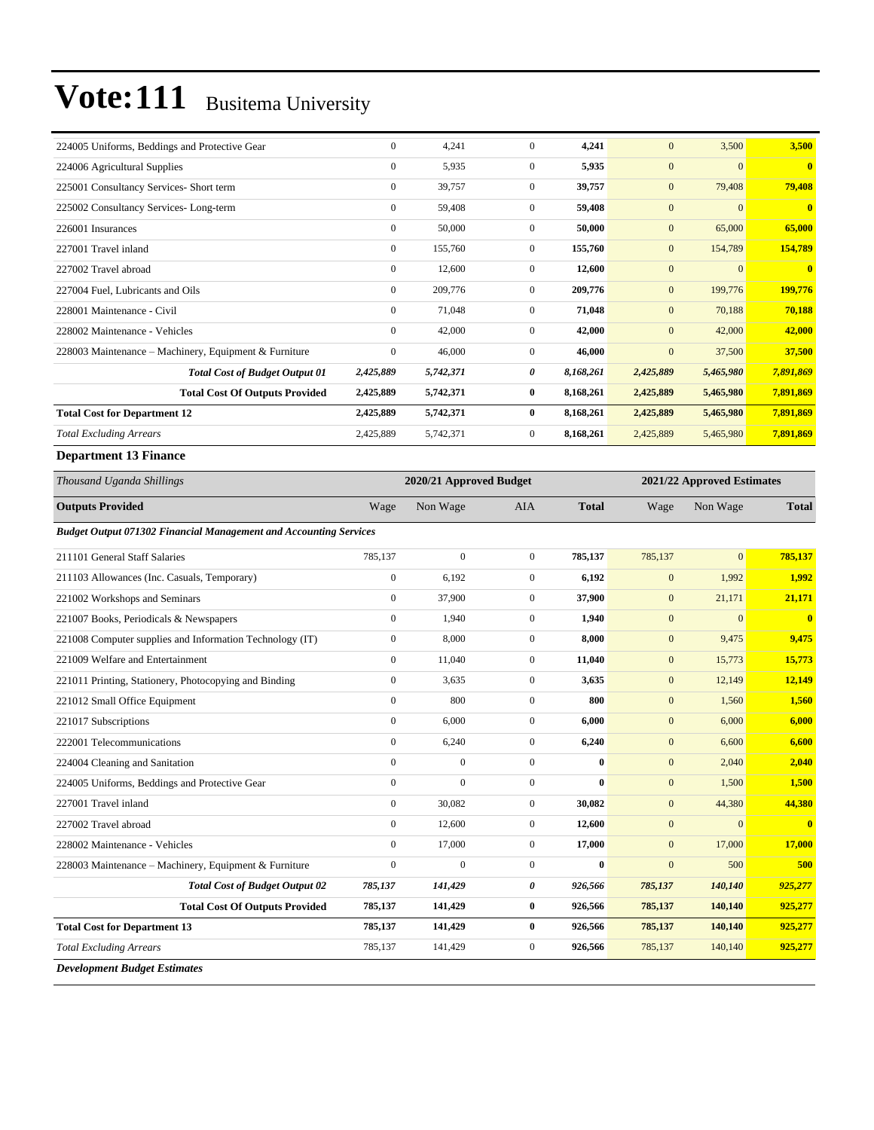| 224005 Uniforms, Beddings and Protective Gear         | $\mathbf{0}$     | 4,241     | $\Omega$       | 4,241     | $\mathbf{0}$ | 3,500        | 3,500                   |
|-------------------------------------------------------|------------------|-----------|----------------|-----------|--------------|--------------|-------------------------|
| 224006 Agricultural Supplies                          | $\mathbf{0}$     | 5,935     | $\overline{0}$ | 5,935     | $\mathbf{0}$ | $\mathbf{0}$ | $\mathbf{0}$            |
| 225001 Consultancy Services- Short term               | $\mathbf{0}$     | 39,757    | $\overline{0}$ | 39,757    | $\mathbf{0}$ | 79,408       | 79,408                  |
| 225002 Consultancy Services-Long-term                 | $\mathbf{0}$     | 59,408    | $\overline{0}$ | 59,408    | $\mathbf{0}$ | $\mathbf{0}$ | $\overline{\mathbf{0}}$ |
| 226001 Insurances                                     | $\mathbf{0}$     | 50,000    | $\overline{0}$ | 50,000    | $\mathbf{0}$ | 65,000       | 65,000                  |
| 227001 Travel inland                                  | $\mathbf{0}$     | 155,760   | $\mathbf{0}$   | 155,760   | $\mathbf{0}$ | 154,789      | 154,789                 |
| 227002 Travel abroad                                  | $\mathbf{0}$     | 12,600    | $\overline{0}$ | 12,600    | $\mathbf{0}$ | $\mathbf{0}$ | $\mathbf{0}$            |
| 227004 Fuel, Lubricants and Oils                      | $\mathbf{0}$     | 209,776   | $\overline{0}$ | 209,776   | $\mathbf{0}$ | 199,776      | 199,776                 |
| 228001 Maintenance - Civil                            | $\mathbf{0}$     | 71,048    | $\overline{0}$ | 71,048    | $\mathbf{0}$ | 70,188       | 70,188                  |
| 228002 Maintenance - Vehicles                         | $\mathbf{0}$     | 42,000    | $\overline{0}$ | 42,000    | $\mathbf{0}$ | 42,000       | 42,000                  |
| 228003 Maintenance – Machinery, Equipment & Furniture | $\boldsymbol{0}$ | 46,000    | $\overline{0}$ | 46,000    | $\mathbf{0}$ | 37,500       | 37,500                  |
| <b>Total Cost of Budget Output 01</b>                 | 2,425,889        | 5,742,371 | 0              | 8,168,261 | 2,425,889    | 5,465,980    | 7,891,869               |
| <b>Total Cost Of Outputs Provided</b>                 | 2,425,889        | 5,742,371 | $\bf{0}$       | 8,168,261 | 2,425,889    | 5,465,980    | 7,891,869               |
| <b>Total Cost for Department 12</b>                   | 2,425,889        | 5,742,371 | $\bf{0}$       | 8,168,261 | 2,425,889    | 5,465,980    | 7,891,869               |
| <b>Total Excluding Arrears</b>                        | 2,425,889        | 5,742,371 | $\overline{0}$ | 8,168,261 | 2,425,889    | 5,465,980    | 7,891,869               |

#### **Department 13 Finance**

| Thousand Uganda Shillings                                                |                  | 2020/21 Approved Budget | 2021/22 Approved Estimates |              |              |                |                         |
|--------------------------------------------------------------------------|------------------|-------------------------|----------------------------|--------------|--------------|----------------|-------------------------|
| <b>Outputs Provided</b>                                                  | Wage             | Non Wage                | <b>AIA</b>                 | <b>Total</b> | Wage         | Non Wage       | <b>Total</b>            |
| <b>Budget Output 071302 Financial Management and Accounting Services</b> |                  |                         |                            |              |              |                |                         |
| 211101 General Staff Salaries                                            | 785,137          | $\overline{0}$          | $\overline{0}$             | 785,137      | 785,137      | $\overline{0}$ | 785,137                 |
| 211103 Allowances (Inc. Casuals, Temporary)                              | $\boldsymbol{0}$ | 6,192                   | $\overline{0}$             | 6,192        | $\mathbf{0}$ | 1,992          | 1,992                   |
| 221002 Workshops and Seminars                                            | $\mathbf{0}$     | 37,900                  | $\overline{0}$             | 37,900       | $\mathbf{0}$ | 21,171         | 21,171                  |
| 221007 Books, Periodicals & Newspapers                                   | $\mathbf{0}$     | 1,940                   | $\overline{0}$             | 1,940        | $\mathbf{0}$ | $\mathbf{0}$   | $\overline{\mathbf{0}}$ |
| 221008 Computer supplies and Information Technology (IT)                 | $\mathbf{0}$     | 8,000                   | $\overline{0}$             | 8,000        | $\mathbf{0}$ | 9,475          | 9,475                   |
| 221009 Welfare and Entertainment                                         | $\mathbf{0}$     | 11,040                  | $\boldsymbol{0}$           | 11,040       | $\mathbf{0}$ | 15,773         | 15,773                  |
| 221011 Printing, Stationery, Photocopying and Binding                    | $\mathbf{0}$     | 3,635                   | $\overline{0}$             | 3,635        | $\mathbf{0}$ | 12,149         | 12,149                  |
| 221012 Small Office Equipment                                            | $\mathbf{0}$     | 800                     | $\overline{0}$             | 800          | $\mathbf{0}$ | 1,560          | 1,560                   |
| 221017 Subscriptions                                                     | $\mathbf{0}$     | 6,000                   | $\overline{0}$             | 6,000        | $\mathbf{0}$ | 6,000          | 6,000                   |
| 222001 Telecommunications                                                | $\mathbf{0}$     | 6,240                   | $\boldsymbol{0}$           | 6,240        | $\mathbf{0}$ | 6,600          | 6,600                   |
| 224004 Cleaning and Sanitation                                           | $\mathbf{0}$     | $\overline{0}$          | $\overline{0}$             | $\bf{0}$     | $\mathbf{0}$ | 2,040          | 2,040                   |
| 224005 Uniforms, Beddings and Protective Gear                            | $\mathbf{0}$     | $\overline{0}$          | $\overline{0}$             | $\bf{0}$     | $\mathbf{0}$ | 1,500          | 1,500                   |
| 227001 Travel inland                                                     | $\mathbf{0}$     | 30,082                  | $\overline{0}$             | 30,082       | $\mathbf{0}$ | 44,380         | 44,380                  |
| 227002 Travel abroad                                                     | $\mathbf{0}$     | 12,600                  | $\mathbf{0}$               | 12,600       | $\mathbf{0}$ | $\mathbf{0}$   | $\overline{\mathbf{0}}$ |
| 228002 Maintenance - Vehicles                                            | $\mathbf{0}$     | 17,000                  | $\overline{0}$             | 17,000       | $\mathbf{0}$ | 17,000         | 17,000                  |
| 228003 Maintenance - Machinery, Equipment & Furniture                    | $\mathbf{0}$     | $\boldsymbol{0}$        | $\mathbf{0}$               | $\bf{0}$     | $\mathbf{0}$ | 500            | 500                     |
| <b>Total Cost of Budget Output 02</b>                                    | 785,137          | 141,429                 | 0                          | 926,566      | 785,137      | 140,140        | 925,277                 |
| <b>Total Cost Of Outputs Provided</b>                                    | 785,137          | 141,429                 | $\bf{0}$                   | 926,566      | 785,137      | 140,140        | 925,277                 |
| <b>Total Cost for Department 13</b>                                      | 785,137          | 141,429                 | $\bf{0}$                   | 926,566      | 785,137      | 140,140        | 925,277                 |
| <b>Total Excluding Arrears</b>                                           | 785,137          | 141,429                 | $\overline{0}$             | 926,566      | 785,137      | 140,140        | 925,277                 |
| <b>Development Budget Estimates</b>                                      |                  |                         |                            |              |              |                |                         |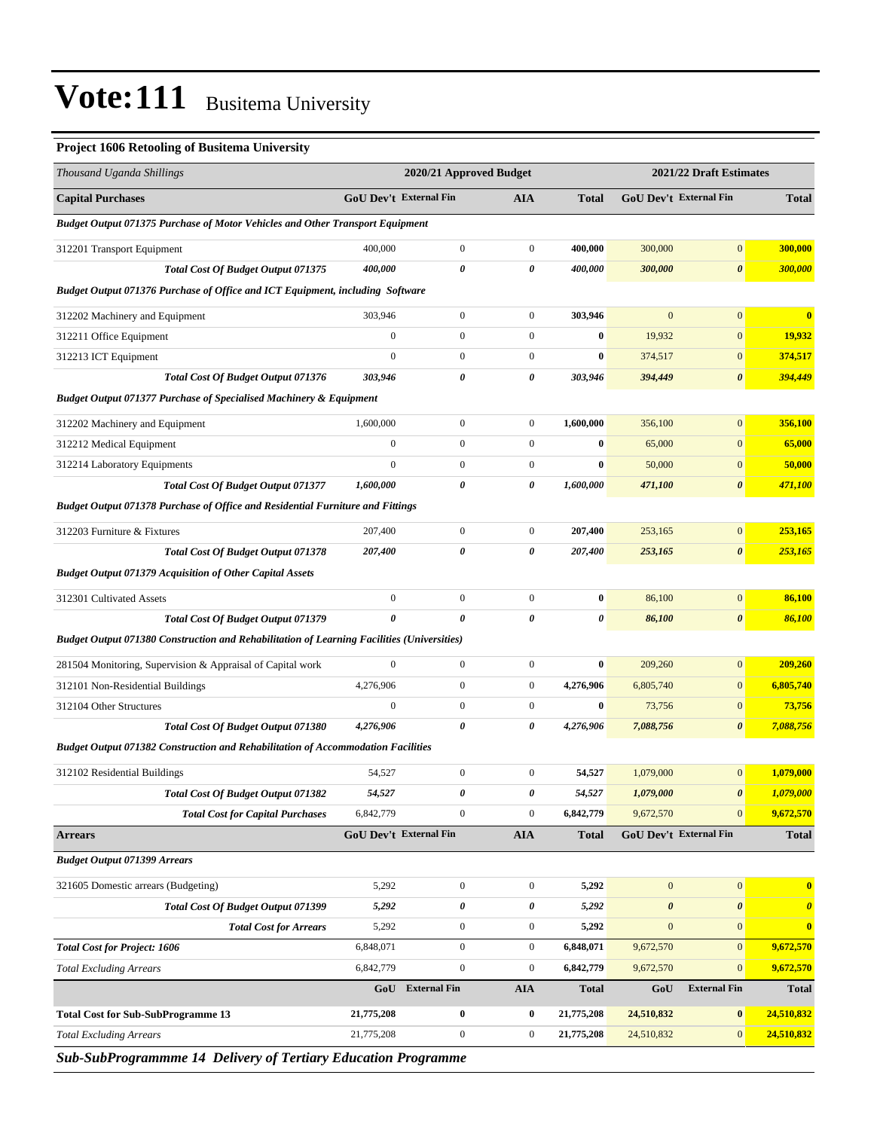#### **Project 1606 Retooling of Busitema University**

| <b>GoU Dev't External Fin</b><br>GoU Dev't External Fin<br><b>Capital Purchases</b><br><b>AIA</b><br><b>Total</b><br><b>Total</b><br><b>Budget Output 071375 Purchase of Motor Vehicles and Other Transport Equipment</b><br>$\boldsymbol{0}$<br>400,000<br>$\boldsymbol{0}$<br>$\boldsymbol{0}$<br>400,000<br>300,000<br>300,000<br>312201 Transport Equipment<br>400,000<br>0<br>0<br>400,000<br>300,000<br>$\boldsymbol{\theta}$<br>300,000<br>Total Cost Of Budget Output 071375<br>Budget Output 071376 Purchase of Office and ICT Equipment, including Software<br>$\boldsymbol{0}$<br>$\mathbf{0}$<br>$\mathbf{0}$<br>$\mathbf{0}$<br>303,946<br>303,946<br>$\bf{0}$<br>312202 Machinery and Equipment<br>$\mathbf{0}$<br>$\boldsymbol{0}$<br>$\boldsymbol{0}$<br>$\bf{0}$<br>19,932<br>$\boldsymbol{0}$<br>19,932<br>312211 Office Equipment<br>$\mathbf{0}$<br>$\boldsymbol{0}$<br>$\boldsymbol{0}$<br>$\bf{0}$<br>$\boldsymbol{0}$<br>374,517<br>312213 ICT Equipment<br>374,517<br>303,946<br>0<br>0<br>303,946<br>394,449<br>$\pmb{\theta}$<br>394,449<br><b>Total Cost Of Budget Output 071376</b><br><b>Budget Output 071377 Purchase of Specialised Machinery &amp; Equipment</b><br>356,100<br>1,600,000<br>$\boldsymbol{0}$<br>$\boldsymbol{0}$<br>1,600,000<br>356,100<br>$\mathbf{0}$<br>312202 Machinery and Equipment<br>$\boldsymbol{0}$<br>$\boldsymbol{0}$<br>$\boldsymbol{0}$<br>$\boldsymbol{0}$<br>$\bf{0}$<br>312212 Medical Equipment<br>65,000<br>65,000<br>$\boldsymbol{0}$<br>$\mathbf{0}$<br>$\boldsymbol{0}$<br>$\bf{0}$<br>50,000<br>$\mathbf{0}$<br>50,000<br>312214 Laboratory Equipments<br>1,600,000<br>0<br>0<br>1,600,000<br>$\boldsymbol{\theta}$<br>471,100<br><b>Total Cost Of Budget Output 071377</b><br>471,100<br>Budget Output 071378 Purchase of Office and Residential Furniture and Fittings<br>$\mathbf{0}$<br>207,400<br>$\boldsymbol{0}$<br>$\boldsymbol{0}$<br>207,400<br>253,165<br>253,165<br>312203 Furniture & Fixtures<br>$\boldsymbol{\theta}$<br>207,400<br>0<br>207,400<br>253,165<br>253,165<br><b>Total Cost Of Budget Output 071378</b><br>0<br><b>Budget Output 071379 Acquisition of Other Capital Assets</b><br>$\boldsymbol{0}$<br>$\boldsymbol{0}$<br>$\boldsymbol{0}$<br>$\boldsymbol{0}$<br>312301 Cultivated Assets<br>$\bf{0}$<br>86,100<br>86,100<br>$\boldsymbol{\theta}$<br>$\pmb{\theta}$<br>0<br>0<br>0<br>86,100<br>86,100<br><b>Total Cost Of Budget Output 071379</b><br><b>Budget Output 071380 Construction and Rehabilitation of Learning Facilities (Universities)</b><br>$\boldsymbol{0}$<br>$\boldsymbol{0}$<br>$\boldsymbol{0}$<br>$\boldsymbol{0}$<br>281504 Monitoring, Supervision & Appraisal of Capital work<br>$\bf{0}$<br>209,260<br>209,260<br>4,276,906<br>$\boldsymbol{0}$<br>$\boldsymbol{0}$<br>4,276,906<br>6,805,740<br>$\mathbf{0}$<br>6,805,740<br>312101 Non-Residential Buildings<br>312104 Other Structures<br>$\boldsymbol{0}$<br>$\mathbf{0}$<br>$\boldsymbol{0}$<br>$\bf{0}$<br>$\mathbf{0}$<br>73,756<br>73,756<br>$\boldsymbol{\theta}$<br>0<br>4,276,906<br>$\boldsymbol{\theta}$<br><b>Total Cost Of Budget Output 071380</b><br>4,276,906<br>7,088,756<br>7,088,756<br><b>Budget Output 071382 Construction and Rehabilitation of Accommodation Facilities</b><br>1,079,000<br>54,527<br>$\boldsymbol{0}$<br>$\boldsymbol{0}$<br>54,527<br>1,079,000<br>$\mathbf{0}$<br>312102 Residential Buildings<br>54,527<br>0<br>54,527<br>1,079,000<br>1,079,000<br>Total Cost Of Budget Output 071382<br>0<br><b>Total Cost for Capital Purchases</b><br>6,842,779<br>$\boldsymbol{0}$<br>$\boldsymbol{0}$<br>6,842,779<br>9,672,570<br>$\mathbf{0}$<br>9,672,570<br>GoU Dev't External Fin<br><b>AIA</b><br>GoU Dev't External Fin<br><b>Arrears</b><br><b>Total</b><br><b>Total</b><br><b>Budget Output 071399 Arrears</b><br>$\boldsymbol{0}$<br>$\mathbf{0}$<br>321605 Domestic arrears (Budgeting)<br>5,292<br>$\boldsymbol{0}$<br>$\boldsymbol{0}$<br>5,292<br>$\bf{0}$<br>0<br>0<br>$\boldsymbol{\theta}$<br>$\boldsymbol{\theta}$<br>Total Cost Of Budget Output 071399<br>5,292<br>5,292<br>$\boldsymbol{\theta}$<br>5,292<br>$\boldsymbol{0}$<br>$\boldsymbol{0}$<br>5,292<br>$\boldsymbol{0}$<br>$\mathbf{0}$<br><b>Total Cost for Arrears</b><br>$\bf{0}$<br>$\overline{0}$<br>$\mathbf{0}$<br>9,672,570<br><b>Total Cost for Project: 1606</b><br>6,848,071<br>$\boldsymbol{0}$<br>6,848,071<br>9,672,570<br>6,842,779<br>6,842,779<br>$\boldsymbol{0}$<br>$\boldsymbol{0}$<br>9,672,570<br>$\mathbf{0}$<br>9,672,570<br><b>Total Excluding Arrears</b><br>GoU<br><b>External Fin</b><br><b>AIA</b><br><b>Total</b><br>GoU<br><b>External Fin</b><br><b>Total</b><br>24,510,832<br><b>Total Cost for Sub-SubProgramme 13</b><br>21,775,208<br>0<br>0<br>21,775,208<br>24,510,832<br>$\bf{0}$<br>$\boldsymbol{0}$<br>$\boldsymbol{0}$<br>21,775,208<br>24,510,832<br>$\mathbf{0}$<br>24,510,832<br><b>Total Excluding Arrears</b><br>21,775,208 | Thousand Uganda Shillings | 2020/21 Approved Budget |  | 2021/22 Draft Estimates |  |  |  |
|---------------------------------------------------------------------------------------------------------------------------------------------------------------------------------------------------------------------------------------------------------------------------------------------------------------------------------------------------------------------------------------------------------------------------------------------------------------------------------------------------------------------------------------------------------------------------------------------------------------------------------------------------------------------------------------------------------------------------------------------------------------------------------------------------------------------------------------------------------------------------------------------------------------------------------------------------------------------------------------------------------------------------------------------------------------------------------------------------------------------------------------------------------------------------------------------------------------------------------------------------------------------------------------------------------------------------------------------------------------------------------------------------------------------------------------------------------------------------------------------------------------------------------------------------------------------------------------------------------------------------------------------------------------------------------------------------------------------------------------------------------------------------------------------------------------------------------------------------------------------------------------------------------------------------------------------------------------------------------------------------------------------------------------------------------------------------------------------------------------------------------------------------------------------------------------------------------------------------------------------------------------------------------------------------------------------------------------------------------------------------------------------------------------------------------------------------------------------------------------------------------------------------------------------------------------------------------------------------------------------------------------------------------------------------------------------------------------------------------------------------------------------------------------------------------------------------------------------------------------------------------------------------------------------------------------------------------------------------------------------------------------------------------------------------------------------------------------------------------------------------------------------------------------------------------------------------------------------------------------------------------------------------------------------------------------------------------------------------------------------------------------------------------------------------------------------------------------------------------------------------------------------------------------------------------------------------------------------------------------------------------------------------------------------------------------------------------------------------------------------------------------------------------------------------------------------------------------------------------------------------------------------------------------------------------------------------------------------------------------------------------------------------------------------------------------------------------------------------------------------------------------------------------------------------------------------------------------------------------------------------------------------------------------------------------------------------------------------------------------------------------------------------------------------------------------------------------------------------------------------------------------------------------------------------------------------------------------------------------------------------------------------------------------------------------------------------------------------------------------------------------------------------------------------------------------------------------------------------------------------------------------------------------------------------------------------------------------------------|---------------------------|-------------------------|--|-------------------------|--|--|--|
|                                                                                                                                                                                                                                                                                                                                                                                                                                                                                                                                                                                                                                                                                                                                                                                                                                                                                                                                                                                                                                                                                                                                                                                                                                                                                                                                                                                                                                                                                                                                                                                                                                                                                                                                                                                                                                                                                                                                                                                                                                                                                                                                                                                                                                                                                                                                                                                                                                                                                                                                                                                                                                                                                                                                                                                                                                                                                                                                                                                                                                                                                                                                                                                                                                                                                                                                                                                                                                                                                                                                                                                                                                                                                                                                                                                                                                                                                                                                                                                                                                                                                                                                                                                                                                                                                                                                                                                                                                                                                                                                                                                                                                                                                                                                                                                                                                                                                                                                                                           |                           |                         |  |                         |  |  |  |
|                                                                                                                                                                                                                                                                                                                                                                                                                                                                                                                                                                                                                                                                                                                                                                                                                                                                                                                                                                                                                                                                                                                                                                                                                                                                                                                                                                                                                                                                                                                                                                                                                                                                                                                                                                                                                                                                                                                                                                                                                                                                                                                                                                                                                                                                                                                                                                                                                                                                                                                                                                                                                                                                                                                                                                                                                                                                                                                                                                                                                                                                                                                                                                                                                                                                                                                                                                                                                                                                                                                                                                                                                                                                                                                                                                                                                                                                                                                                                                                                                                                                                                                                                                                                                                                                                                                                                                                                                                                                                                                                                                                                                                                                                                                                                                                                                                                                                                                                                                           |                           |                         |  |                         |  |  |  |
|                                                                                                                                                                                                                                                                                                                                                                                                                                                                                                                                                                                                                                                                                                                                                                                                                                                                                                                                                                                                                                                                                                                                                                                                                                                                                                                                                                                                                                                                                                                                                                                                                                                                                                                                                                                                                                                                                                                                                                                                                                                                                                                                                                                                                                                                                                                                                                                                                                                                                                                                                                                                                                                                                                                                                                                                                                                                                                                                                                                                                                                                                                                                                                                                                                                                                                                                                                                                                                                                                                                                                                                                                                                                                                                                                                                                                                                                                                                                                                                                                                                                                                                                                                                                                                                                                                                                                                                                                                                                                                                                                                                                                                                                                                                                                                                                                                                                                                                                                                           |                           |                         |  |                         |  |  |  |
|                                                                                                                                                                                                                                                                                                                                                                                                                                                                                                                                                                                                                                                                                                                                                                                                                                                                                                                                                                                                                                                                                                                                                                                                                                                                                                                                                                                                                                                                                                                                                                                                                                                                                                                                                                                                                                                                                                                                                                                                                                                                                                                                                                                                                                                                                                                                                                                                                                                                                                                                                                                                                                                                                                                                                                                                                                                                                                                                                                                                                                                                                                                                                                                                                                                                                                                                                                                                                                                                                                                                                                                                                                                                                                                                                                                                                                                                                                                                                                                                                                                                                                                                                                                                                                                                                                                                                                                                                                                                                                                                                                                                                                                                                                                                                                                                                                                                                                                                                                           |                           |                         |  |                         |  |  |  |
|                                                                                                                                                                                                                                                                                                                                                                                                                                                                                                                                                                                                                                                                                                                                                                                                                                                                                                                                                                                                                                                                                                                                                                                                                                                                                                                                                                                                                                                                                                                                                                                                                                                                                                                                                                                                                                                                                                                                                                                                                                                                                                                                                                                                                                                                                                                                                                                                                                                                                                                                                                                                                                                                                                                                                                                                                                                                                                                                                                                                                                                                                                                                                                                                                                                                                                                                                                                                                                                                                                                                                                                                                                                                                                                                                                                                                                                                                                                                                                                                                                                                                                                                                                                                                                                                                                                                                                                                                                                                                                                                                                                                                                                                                                                                                                                                                                                                                                                                                                           |                           |                         |  |                         |  |  |  |
|                                                                                                                                                                                                                                                                                                                                                                                                                                                                                                                                                                                                                                                                                                                                                                                                                                                                                                                                                                                                                                                                                                                                                                                                                                                                                                                                                                                                                                                                                                                                                                                                                                                                                                                                                                                                                                                                                                                                                                                                                                                                                                                                                                                                                                                                                                                                                                                                                                                                                                                                                                                                                                                                                                                                                                                                                                                                                                                                                                                                                                                                                                                                                                                                                                                                                                                                                                                                                                                                                                                                                                                                                                                                                                                                                                                                                                                                                                                                                                                                                                                                                                                                                                                                                                                                                                                                                                                                                                                                                                                                                                                                                                                                                                                                                                                                                                                                                                                                                                           |                           |                         |  |                         |  |  |  |
|                                                                                                                                                                                                                                                                                                                                                                                                                                                                                                                                                                                                                                                                                                                                                                                                                                                                                                                                                                                                                                                                                                                                                                                                                                                                                                                                                                                                                                                                                                                                                                                                                                                                                                                                                                                                                                                                                                                                                                                                                                                                                                                                                                                                                                                                                                                                                                                                                                                                                                                                                                                                                                                                                                                                                                                                                                                                                                                                                                                                                                                                                                                                                                                                                                                                                                                                                                                                                                                                                                                                                                                                                                                                                                                                                                                                                                                                                                                                                                                                                                                                                                                                                                                                                                                                                                                                                                                                                                                                                                                                                                                                                                                                                                                                                                                                                                                                                                                                                                           |                           |                         |  |                         |  |  |  |
|                                                                                                                                                                                                                                                                                                                                                                                                                                                                                                                                                                                                                                                                                                                                                                                                                                                                                                                                                                                                                                                                                                                                                                                                                                                                                                                                                                                                                                                                                                                                                                                                                                                                                                                                                                                                                                                                                                                                                                                                                                                                                                                                                                                                                                                                                                                                                                                                                                                                                                                                                                                                                                                                                                                                                                                                                                                                                                                                                                                                                                                                                                                                                                                                                                                                                                                                                                                                                                                                                                                                                                                                                                                                                                                                                                                                                                                                                                                                                                                                                                                                                                                                                                                                                                                                                                                                                                                                                                                                                                                                                                                                                                                                                                                                                                                                                                                                                                                                                                           |                           |                         |  |                         |  |  |  |
|                                                                                                                                                                                                                                                                                                                                                                                                                                                                                                                                                                                                                                                                                                                                                                                                                                                                                                                                                                                                                                                                                                                                                                                                                                                                                                                                                                                                                                                                                                                                                                                                                                                                                                                                                                                                                                                                                                                                                                                                                                                                                                                                                                                                                                                                                                                                                                                                                                                                                                                                                                                                                                                                                                                                                                                                                                                                                                                                                                                                                                                                                                                                                                                                                                                                                                                                                                                                                                                                                                                                                                                                                                                                                                                                                                                                                                                                                                                                                                                                                                                                                                                                                                                                                                                                                                                                                                                                                                                                                                                                                                                                                                                                                                                                                                                                                                                                                                                                                                           |                           |                         |  |                         |  |  |  |
|                                                                                                                                                                                                                                                                                                                                                                                                                                                                                                                                                                                                                                                                                                                                                                                                                                                                                                                                                                                                                                                                                                                                                                                                                                                                                                                                                                                                                                                                                                                                                                                                                                                                                                                                                                                                                                                                                                                                                                                                                                                                                                                                                                                                                                                                                                                                                                                                                                                                                                                                                                                                                                                                                                                                                                                                                                                                                                                                                                                                                                                                                                                                                                                                                                                                                                                                                                                                                                                                                                                                                                                                                                                                                                                                                                                                                                                                                                                                                                                                                                                                                                                                                                                                                                                                                                                                                                                                                                                                                                                                                                                                                                                                                                                                                                                                                                                                                                                                                                           |                           |                         |  |                         |  |  |  |
|                                                                                                                                                                                                                                                                                                                                                                                                                                                                                                                                                                                                                                                                                                                                                                                                                                                                                                                                                                                                                                                                                                                                                                                                                                                                                                                                                                                                                                                                                                                                                                                                                                                                                                                                                                                                                                                                                                                                                                                                                                                                                                                                                                                                                                                                                                                                                                                                                                                                                                                                                                                                                                                                                                                                                                                                                                                                                                                                                                                                                                                                                                                                                                                                                                                                                                                                                                                                                                                                                                                                                                                                                                                                                                                                                                                                                                                                                                                                                                                                                                                                                                                                                                                                                                                                                                                                                                                                                                                                                                                                                                                                                                                                                                                                                                                                                                                                                                                                                                           |                           |                         |  |                         |  |  |  |
|                                                                                                                                                                                                                                                                                                                                                                                                                                                                                                                                                                                                                                                                                                                                                                                                                                                                                                                                                                                                                                                                                                                                                                                                                                                                                                                                                                                                                                                                                                                                                                                                                                                                                                                                                                                                                                                                                                                                                                                                                                                                                                                                                                                                                                                                                                                                                                                                                                                                                                                                                                                                                                                                                                                                                                                                                                                                                                                                                                                                                                                                                                                                                                                                                                                                                                                                                                                                                                                                                                                                                                                                                                                                                                                                                                                                                                                                                                                                                                                                                                                                                                                                                                                                                                                                                                                                                                                                                                                                                                                                                                                                                                                                                                                                                                                                                                                                                                                                                                           |                           |                         |  |                         |  |  |  |
|                                                                                                                                                                                                                                                                                                                                                                                                                                                                                                                                                                                                                                                                                                                                                                                                                                                                                                                                                                                                                                                                                                                                                                                                                                                                                                                                                                                                                                                                                                                                                                                                                                                                                                                                                                                                                                                                                                                                                                                                                                                                                                                                                                                                                                                                                                                                                                                                                                                                                                                                                                                                                                                                                                                                                                                                                                                                                                                                                                                                                                                                                                                                                                                                                                                                                                                                                                                                                                                                                                                                                                                                                                                                                                                                                                                                                                                                                                                                                                                                                                                                                                                                                                                                                                                                                                                                                                                                                                                                                                                                                                                                                                                                                                                                                                                                                                                                                                                                                                           |                           |                         |  |                         |  |  |  |
|                                                                                                                                                                                                                                                                                                                                                                                                                                                                                                                                                                                                                                                                                                                                                                                                                                                                                                                                                                                                                                                                                                                                                                                                                                                                                                                                                                                                                                                                                                                                                                                                                                                                                                                                                                                                                                                                                                                                                                                                                                                                                                                                                                                                                                                                                                                                                                                                                                                                                                                                                                                                                                                                                                                                                                                                                                                                                                                                                                                                                                                                                                                                                                                                                                                                                                                                                                                                                                                                                                                                                                                                                                                                                                                                                                                                                                                                                                                                                                                                                                                                                                                                                                                                                                                                                                                                                                                                                                                                                                                                                                                                                                                                                                                                                                                                                                                                                                                                                                           |                           |                         |  |                         |  |  |  |
|                                                                                                                                                                                                                                                                                                                                                                                                                                                                                                                                                                                                                                                                                                                                                                                                                                                                                                                                                                                                                                                                                                                                                                                                                                                                                                                                                                                                                                                                                                                                                                                                                                                                                                                                                                                                                                                                                                                                                                                                                                                                                                                                                                                                                                                                                                                                                                                                                                                                                                                                                                                                                                                                                                                                                                                                                                                                                                                                                                                                                                                                                                                                                                                                                                                                                                                                                                                                                                                                                                                                                                                                                                                                                                                                                                                                                                                                                                                                                                                                                                                                                                                                                                                                                                                                                                                                                                                                                                                                                                                                                                                                                                                                                                                                                                                                                                                                                                                                                                           |                           |                         |  |                         |  |  |  |
|                                                                                                                                                                                                                                                                                                                                                                                                                                                                                                                                                                                                                                                                                                                                                                                                                                                                                                                                                                                                                                                                                                                                                                                                                                                                                                                                                                                                                                                                                                                                                                                                                                                                                                                                                                                                                                                                                                                                                                                                                                                                                                                                                                                                                                                                                                                                                                                                                                                                                                                                                                                                                                                                                                                                                                                                                                                                                                                                                                                                                                                                                                                                                                                                                                                                                                                                                                                                                                                                                                                                                                                                                                                                                                                                                                                                                                                                                                                                                                                                                                                                                                                                                                                                                                                                                                                                                                                                                                                                                                                                                                                                                                                                                                                                                                                                                                                                                                                                                                           |                           |                         |  |                         |  |  |  |
|                                                                                                                                                                                                                                                                                                                                                                                                                                                                                                                                                                                                                                                                                                                                                                                                                                                                                                                                                                                                                                                                                                                                                                                                                                                                                                                                                                                                                                                                                                                                                                                                                                                                                                                                                                                                                                                                                                                                                                                                                                                                                                                                                                                                                                                                                                                                                                                                                                                                                                                                                                                                                                                                                                                                                                                                                                                                                                                                                                                                                                                                                                                                                                                                                                                                                                                                                                                                                                                                                                                                                                                                                                                                                                                                                                                                                                                                                                                                                                                                                                                                                                                                                                                                                                                                                                                                                                                                                                                                                                                                                                                                                                                                                                                                                                                                                                                                                                                                                                           |                           |                         |  |                         |  |  |  |
|                                                                                                                                                                                                                                                                                                                                                                                                                                                                                                                                                                                                                                                                                                                                                                                                                                                                                                                                                                                                                                                                                                                                                                                                                                                                                                                                                                                                                                                                                                                                                                                                                                                                                                                                                                                                                                                                                                                                                                                                                                                                                                                                                                                                                                                                                                                                                                                                                                                                                                                                                                                                                                                                                                                                                                                                                                                                                                                                                                                                                                                                                                                                                                                                                                                                                                                                                                                                                                                                                                                                                                                                                                                                                                                                                                                                                                                                                                                                                                                                                                                                                                                                                                                                                                                                                                                                                                                                                                                                                                                                                                                                                                                                                                                                                                                                                                                                                                                                                                           |                           |                         |  |                         |  |  |  |
|                                                                                                                                                                                                                                                                                                                                                                                                                                                                                                                                                                                                                                                                                                                                                                                                                                                                                                                                                                                                                                                                                                                                                                                                                                                                                                                                                                                                                                                                                                                                                                                                                                                                                                                                                                                                                                                                                                                                                                                                                                                                                                                                                                                                                                                                                                                                                                                                                                                                                                                                                                                                                                                                                                                                                                                                                                                                                                                                                                                                                                                                                                                                                                                                                                                                                                                                                                                                                                                                                                                                                                                                                                                                                                                                                                                                                                                                                                                                                                                                                                                                                                                                                                                                                                                                                                                                                                                                                                                                                                                                                                                                                                                                                                                                                                                                                                                                                                                                                                           |                           |                         |  |                         |  |  |  |
|                                                                                                                                                                                                                                                                                                                                                                                                                                                                                                                                                                                                                                                                                                                                                                                                                                                                                                                                                                                                                                                                                                                                                                                                                                                                                                                                                                                                                                                                                                                                                                                                                                                                                                                                                                                                                                                                                                                                                                                                                                                                                                                                                                                                                                                                                                                                                                                                                                                                                                                                                                                                                                                                                                                                                                                                                                                                                                                                                                                                                                                                                                                                                                                                                                                                                                                                                                                                                                                                                                                                                                                                                                                                                                                                                                                                                                                                                                                                                                                                                                                                                                                                                                                                                                                                                                                                                                                                                                                                                                                                                                                                                                                                                                                                                                                                                                                                                                                                                                           |                           |                         |  |                         |  |  |  |
|                                                                                                                                                                                                                                                                                                                                                                                                                                                                                                                                                                                                                                                                                                                                                                                                                                                                                                                                                                                                                                                                                                                                                                                                                                                                                                                                                                                                                                                                                                                                                                                                                                                                                                                                                                                                                                                                                                                                                                                                                                                                                                                                                                                                                                                                                                                                                                                                                                                                                                                                                                                                                                                                                                                                                                                                                                                                                                                                                                                                                                                                                                                                                                                                                                                                                                                                                                                                                                                                                                                                                                                                                                                                                                                                                                                                                                                                                                                                                                                                                                                                                                                                                                                                                                                                                                                                                                                                                                                                                                                                                                                                                                                                                                                                                                                                                                                                                                                                                                           |                           |                         |  |                         |  |  |  |
|                                                                                                                                                                                                                                                                                                                                                                                                                                                                                                                                                                                                                                                                                                                                                                                                                                                                                                                                                                                                                                                                                                                                                                                                                                                                                                                                                                                                                                                                                                                                                                                                                                                                                                                                                                                                                                                                                                                                                                                                                                                                                                                                                                                                                                                                                                                                                                                                                                                                                                                                                                                                                                                                                                                                                                                                                                                                                                                                                                                                                                                                                                                                                                                                                                                                                                                                                                                                                                                                                                                                                                                                                                                                                                                                                                                                                                                                                                                                                                                                                                                                                                                                                                                                                                                                                                                                                                                                                                                                                                                                                                                                                                                                                                                                                                                                                                                                                                                                                                           |                           |                         |  |                         |  |  |  |
|                                                                                                                                                                                                                                                                                                                                                                                                                                                                                                                                                                                                                                                                                                                                                                                                                                                                                                                                                                                                                                                                                                                                                                                                                                                                                                                                                                                                                                                                                                                                                                                                                                                                                                                                                                                                                                                                                                                                                                                                                                                                                                                                                                                                                                                                                                                                                                                                                                                                                                                                                                                                                                                                                                                                                                                                                                                                                                                                                                                                                                                                                                                                                                                                                                                                                                                                                                                                                                                                                                                                                                                                                                                                                                                                                                                                                                                                                                                                                                                                                                                                                                                                                                                                                                                                                                                                                                                                                                                                                                                                                                                                                                                                                                                                                                                                                                                                                                                                                                           |                           |                         |  |                         |  |  |  |
|                                                                                                                                                                                                                                                                                                                                                                                                                                                                                                                                                                                                                                                                                                                                                                                                                                                                                                                                                                                                                                                                                                                                                                                                                                                                                                                                                                                                                                                                                                                                                                                                                                                                                                                                                                                                                                                                                                                                                                                                                                                                                                                                                                                                                                                                                                                                                                                                                                                                                                                                                                                                                                                                                                                                                                                                                                                                                                                                                                                                                                                                                                                                                                                                                                                                                                                                                                                                                                                                                                                                                                                                                                                                                                                                                                                                                                                                                                                                                                                                                                                                                                                                                                                                                                                                                                                                                                                                                                                                                                                                                                                                                                                                                                                                                                                                                                                                                                                                                                           |                           |                         |  |                         |  |  |  |
|                                                                                                                                                                                                                                                                                                                                                                                                                                                                                                                                                                                                                                                                                                                                                                                                                                                                                                                                                                                                                                                                                                                                                                                                                                                                                                                                                                                                                                                                                                                                                                                                                                                                                                                                                                                                                                                                                                                                                                                                                                                                                                                                                                                                                                                                                                                                                                                                                                                                                                                                                                                                                                                                                                                                                                                                                                                                                                                                                                                                                                                                                                                                                                                                                                                                                                                                                                                                                                                                                                                                                                                                                                                                                                                                                                                                                                                                                                                                                                                                                                                                                                                                                                                                                                                                                                                                                                                                                                                                                                                                                                                                                                                                                                                                                                                                                                                                                                                                                                           |                           |                         |  |                         |  |  |  |
|                                                                                                                                                                                                                                                                                                                                                                                                                                                                                                                                                                                                                                                                                                                                                                                                                                                                                                                                                                                                                                                                                                                                                                                                                                                                                                                                                                                                                                                                                                                                                                                                                                                                                                                                                                                                                                                                                                                                                                                                                                                                                                                                                                                                                                                                                                                                                                                                                                                                                                                                                                                                                                                                                                                                                                                                                                                                                                                                                                                                                                                                                                                                                                                                                                                                                                                                                                                                                                                                                                                                                                                                                                                                                                                                                                                                                                                                                                                                                                                                                                                                                                                                                                                                                                                                                                                                                                                                                                                                                                                                                                                                                                                                                                                                                                                                                                                                                                                                                                           |                           |                         |  |                         |  |  |  |
|                                                                                                                                                                                                                                                                                                                                                                                                                                                                                                                                                                                                                                                                                                                                                                                                                                                                                                                                                                                                                                                                                                                                                                                                                                                                                                                                                                                                                                                                                                                                                                                                                                                                                                                                                                                                                                                                                                                                                                                                                                                                                                                                                                                                                                                                                                                                                                                                                                                                                                                                                                                                                                                                                                                                                                                                                                                                                                                                                                                                                                                                                                                                                                                                                                                                                                                                                                                                                                                                                                                                                                                                                                                                                                                                                                                                                                                                                                                                                                                                                                                                                                                                                                                                                                                                                                                                                                                                                                                                                                                                                                                                                                                                                                                                                                                                                                                                                                                                                                           |                           |                         |  |                         |  |  |  |
|                                                                                                                                                                                                                                                                                                                                                                                                                                                                                                                                                                                                                                                                                                                                                                                                                                                                                                                                                                                                                                                                                                                                                                                                                                                                                                                                                                                                                                                                                                                                                                                                                                                                                                                                                                                                                                                                                                                                                                                                                                                                                                                                                                                                                                                                                                                                                                                                                                                                                                                                                                                                                                                                                                                                                                                                                                                                                                                                                                                                                                                                                                                                                                                                                                                                                                                                                                                                                                                                                                                                                                                                                                                                                                                                                                                                                                                                                                                                                                                                                                                                                                                                                                                                                                                                                                                                                                                                                                                                                                                                                                                                                                                                                                                                                                                                                                                                                                                                                                           |                           |                         |  |                         |  |  |  |
|                                                                                                                                                                                                                                                                                                                                                                                                                                                                                                                                                                                                                                                                                                                                                                                                                                                                                                                                                                                                                                                                                                                                                                                                                                                                                                                                                                                                                                                                                                                                                                                                                                                                                                                                                                                                                                                                                                                                                                                                                                                                                                                                                                                                                                                                                                                                                                                                                                                                                                                                                                                                                                                                                                                                                                                                                                                                                                                                                                                                                                                                                                                                                                                                                                                                                                                                                                                                                                                                                                                                                                                                                                                                                                                                                                                                                                                                                                                                                                                                                                                                                                                                                                                                                                                                                                                                                                                                                                                                                                                                                                                                                                                                                                                                                                                                                                                                                                                                                                           |                           |                         |  |                         |  |  |  |
|                                                                                                                                                                                                                                                                                                                                                                                                                                                                                                                                                                                                                                                                                                                                                                                                                                                                                                                                                                                                                                                                                                                                                                                                                                                                                                                                                                                                                                                                                                                                                                                                                                                                                                                                                                                                                                                                                                                                                                                                                                                                                                                                                                                                                                                                                                                                                                                                                                                                                                                                                                                                                                                                                                                                                                                                                                                                                                                                                                                                                                                                                                                                                                                                                                                                                                                                                                                                                                                                                                                                                                                                                                                                                                                                                                                                                                                                                                                                                                                                                                                                                                                                                                                                                                                                                                                                                                                                                                                                                                                                                                                                                                                                                                                                                                                                                                                                                                                                                                           |                           |                         |  |                         |  |  |  |
|                                                                                                                                                                                                                                                                                                                                                                                                                                                                                                                                                                                                                                                                                                                                                                                                                                                                                                                                                                                                                                                                                                                                                                                                                                                                                                                                                                                                                                                                                                                                                                                                                                                                                                                                                                                                                                                                                                                                                                                                                                                                                                                                                                                                                                                                                                                                                                                                                                                                                                                                                                                                                                                                                                                                                                                                                                                                                                                                                                                                                                                                                                                                                                                                                                                                                                                                                                                                                                                                                                                                                                                                                                                                                                                                                                                                                                                                                                                                                                                                                                                                                                                                                                                                                                                                                                                                                                                                                                                                                                                                                                                                                                                                                                                                                                                                                                                                                                                                                                           |                           |                         |  |                         |  |  |  |
|                                                                                                                                                                                                                                                                                                                                                                                                                                                                                                                                                                                                                                                                                                                                                                                                                                                                                                                                                                                                                                                                                                                                                                                                                                                                                                                                                                                                                                                                                                                                                                                                                                                                                                                                                                                                                                                                                                                                                                                                                                                                                                                                                                                                                                                                                                                                                                                                                                                                                                                                                                                                                                                                                                                                                                                                                                                                                                                                                                                                                                                                                                                                                                                                                                                                                                                                                                                                                                                                                                                                                                                                                                                                                                                                                                                                                                                                                                                                                                                                                                                                                                                                                                                                                                                                                                                                                                                                                                                                                                                                                                                                                                                                                                                                                                                                                                                                                                                                                                           |                           |                         |  |                         |  |  |  |
|                                                                                                                                                                                                                                                                                                                                                                                                                                                                                                                                                                                                                                                                                                                                                                                                                                                                                                                                                                                                                                                                                                                                                                                                                                                                                                                                                                                                                                                                                                                                                                                                                                                                                                                                                                                                                                                                                                                                                                                                                                                                                                                                                                                                                                                                                                                                                                                                                                                                                                                                                                                                                                                                                                                                                                                                                                                                                                                                                                                                                                                                                                                                                                                                                                                                                                                                                                                                                                                                                                                                                                                                                                                                                                                                                                                                                                                                                                                                                                                                                                                                                                                                                                                                                                                                                                                                                                                                                                                                                                                                                                                                                                                                                                                                                                                                                                                                                                                                                                           |                           |                         |  |                         |  |  |  |
|                                                                                                                                                                                                                                                                                                                                                                                                                                                                                                                                                                                                                                                                                                                                                                                                                                                                                                                                                                                                                                                                                                                                                                                                                                                                                                                                                                                                                                                                                                                                                                                                                                                                                                                                                                                                                                                                                                                                                                                                                                                                                                                                                                                                                                                                                                                                                                                                                                                                                                                                                                                                                                                                                                                                                                                                                                                                                                                                                                                                                                                                                                                                                                                                                                                                                                                                                                                                                                                                                                                                                                                                                                                                                                                                                                                                                                                                                                                                                                                                                                                                                                                                                                                                                                                                                                                                                                                                                                                                                                                                                                                                                                                                                                                                                                                                                                                                                                                                                                           |                           |                         |  |                         |  |  |  |
|                                                                                                                                                                                                                                                                                                                                                                                                                                                                                                                                                                                                                                                                                                                                                                                                                                                                                                                                                                                                                                                                                                                                                                                                                                                                                                                                                                                                                                                                                                                                                                                                                                                                                                                                                                                                                                                                                                                                                                                                                                                                                                                                                                                                                                                                                                                                                                                                                                                                                                                                                                                                                                                                                                                                                                                                                                                                                                                                                                                                                                                                                                                                                                                                                                                                                                                                                                                                                                                                                                                                                                                                                                                                                                                                                                                                                                                                                                                                                                                                                                                                                                                                                                                                                                                                                                                                                                                                                                                                                                                                                                                                                                                                                                                                                                                                                                                                                                                                                                           |                           |                         |  |                         |  |  |  |
|                                                                                                                                                                                                                                                                                                                                                                                                                                                                                                                                                                                                                                                                                                                                                                                                                                                                                                                                                                                                                                                                                                                                                                                                                                                                                                                                                                                                                                                                                                                                                                                                                                                                                                                                                                                                                                                                                                                                                                                                                                                                                                                                                                                                                                                                                                                                                                                                                                                                                                                                                                                                                                                                                                                                                                                                                                                                                                                                                                                                                                                                                                                                                                                                                                                                                                                                                                                                                                                                                                                                                                                                                                                                                                                                                                                                                                                                                                                                                                                                                                                                                                                                                                                                                                                                                                                                                                                                                                                                                                                                                                                                                                                                                                                                                                                                                                                                                                                                                                           |                           |                         |  |                         |  |  |  |
|                                                                                                                                                                                                                                                                                                                                                                                                                                                                                                                                                                                                                                                                                                                                                                                                                                                                                                                                                                                                                                                                                                                                                                                                                                                                                                                                                                                                                                                                                                                                                                                                                                                                                                                                                                                                                                                                                                                                                                                                                                                                                                                                                                                                                                                                                                                                                                                                                                                                                                                                                                                                                                                                                                                                                                                                                                                                                                                                                                                                                                                                                                                                                                                                                                                                                                                                                                                                                                                                                                                                                                                                                                                                                                                                                                                                                                                                                                                                                                                                                                                                                                                                                                                                                                                                                                                                                                                                                                                                                                                                                                                                                                                                                                                                                                                                                                                                                                                                                                           |                           |                         |  |                         |  |  |  |
|                                                                                                                                                                                                                                                                                                                                                                                                                                                                                                                                                                                                                                                                                                                                                                                                                                                                                                                                                                                                                                                                                                                                                                                                                                                                                                                                                                                                                                                                                                                                                                                                                                                                                                                                                                                                                                                                                                                                                                                                                                                                                                                                                                                                                                                                                                                                                                                                                                                                                                                                                                                                                                                                                                                                                                                                                                                                                                                                                                                                                                                                                                                                                                                                                                                                                                                                                                                                                                                                                                                                                                                                                                                                                                                                                                                                                                                                                                                                                                                                                                                                                                                                                                                                                                                                                                                                                                                                                                                                                                                                                                                                                                                                                                                                                                                                                                                                                                                                                                           |                           |                         |  |                         |  |  |  |
|                                                                                                                                                                                                                                                                                                                                                                                                                                                                                                                                                                                                                                                                                                                                                                                                                                                                                                                                                                                                                                                                                                                                                                                                                                                                                                                                                                                                                                                                                                                                                                                                                                                                                                                                                                                                                                                                                                                                                                                                                                                                                                                                                                                                                                                                                                                                                                                                                                                                                                                                                                                                                                                                                                                                                                                                                                                                                                                                                                                                                                                                                                                                                                                                                                                                                                                                                                                                                                                                                                                                                                                                                                                                                                                                                                                                                                                                                                                                                                                                                                                                                                                                                                                                                                                                                                                                                                                                                                                                                                                                                                                                                                                                                                                                                                                                                                                                                                                                                                           |                           |                         |  |                         |  |  |  |

*Sub-SubProgrammme 14 Delivery of Tertiary Education Programme*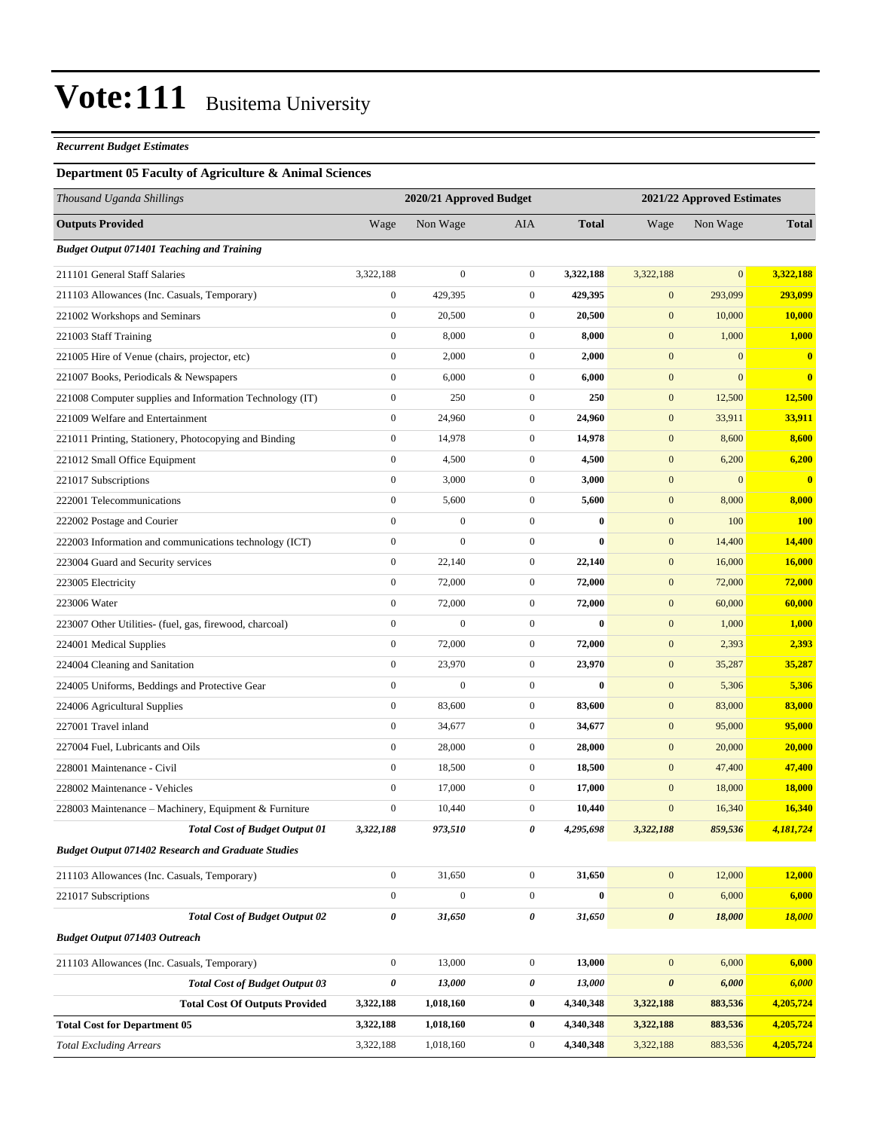#### *Recurrent Budget Estimates*

#### **Department 05 Faculty of Agriculture & Animal Sciences**

| Thousand Uganda Shillings                                 | 2020/21 Approved Budget |                  |                  |              | 2021/22 Approved Estimates |              |               |
|-----------------------------------------------------------|-------------------------|------------------|------------------|--------------|----------------------------|--------------|---------------|
| <b>Outputs Provided</b>                                   | Wage                    | Non Wage         | <b>AIA</b>       | <b>Total</b> | Wage                       | Non Wage     | <b>Total</b>  |
| <b>Budget Output 071401 Teaching and Training</b>         |                         |                  |                  |              |                            |              |               |
| 211101 General Staff Salaries                             | 3,322,188               | $\boldsymbol{0}$ | $\mathbf{0}$     | 3,322,188    | 3,322,188                  | $\mathbf{0}$ | 3,322,188     |
| 211103 Allowances (Inc. Casuals, Temporary)               | $\boldsymbol{0}$        | 429,395          | $\boldsymbol{0}$ | 429,395      | $\boldsymbol{0}$           | 293,099      | 293,099       |
| 221002 Workshops and Seminars                             | $\boldsymbol{0}$        | 20,500           | $\boldsymbol{0}$ | 20,500       | $\mathbf{0}$               | 10,000       | 10,000        |
| 221003 Staff Training                                     | $\boldsymbol{0}$        | 8,000            | $\mathbf{0}$     | 8,000        | $\mathbf{0}$               | 1,000        | 1,000         |
| 221005 Hire of Venue (chairs, projector, etc)             | $\boldsymbol{0}$        | 2,000            | $\mathbf{0}$     | 2,000        | $\mathbf{0}$               | $\mathbf{0}$ | $\mathbf{0}$  |
| 221007 Books, Periodicals & Newspapers                    | $\boldsymbol{0}$        | 6,000            | $\mathbf{0}$     | 6,000        | $\mathbf{0}$               | $\mathbf{0}$ | $\bf{0}$      |
| 221008 Computer supplies and Information Technology (IT)  | $\boldsymbol{0}$        | 250              | $\mathbf{0}$     | 250          | $\mathbf{0}$               | 12,500       | 12,500        |
| 221009 Welfare and Entertainment                          | $\boldsymbol{0}$        | 24,960           | $\boldsymbol{0}$ | 24,960       | $\mathbf{0}$               | 33,911       | 33,911        |
| 221011 Printing, Stationery, Photocopying and Binding     | $\boldsymbol{0}$        | 14,978           | $\mathbf{0}$     | 14,978       | $\mathbf{0}$               | 8,600        | 8,600         |
| 221012 Small Office Equipment                             | $\boldsymbol{0}$        | 4,500            | $\mathbf{0}$     | 4,500        | $\mathbf{0}$               | 6,200        | 6,200         |
| 221017 Subscriptions                                      | $\boldsymbol{0}$        | 3,000            | $\mathbf{0}$     | 3,000        | $\mathbf{0}$               | $\mathbf{0}$ | $\bf{0}$      |
| 222001 Telecommunications                                 | $\boldsymbol{0}$        | 5,600            | $\mathbf{0}$     | 5,600        | $\boldsymbol{0}$           | 8,000        | 8,000         |
| 222002 Postage and Courier                                | $\overline{0}$          | $\boldsymbol{0}$ | $\boldsymbol{0}$ | $\bf{0}$     | $\mathbf{0}$               | 100          | <b>100</b>    |
| 222003 Information and communications technology (ICT)    | $\boldsymbol{0}$        | $\overline{0}$   | $\mathbf{0}$     | $\bf{0}$     | $\mathbf{0}$               | 14,400       | 14,400        |
| 223004 Guard and Security services                        | $\boldsymbol{0}$        | 22,140           | $\mathbf{0}$     | 22,140       | $\mathbf{0}$               | 16,000       | 16,000        |
| 223005 Electricity                                        | $\boldsymbol{0}$        | 72,000           | $\mathbf{0}$     | 72,000       | $\mathbf{0}$               | 72,000       | 72,000        |
| 223006 Water                                              | $\boldsymbol{0}$        | 72,000           | $\mathbf{0}$     | 72,000       | $\mathbf{0}$               | 60,000       | 60,000        |
| 223007 Other Utilities- (fuel, gas, firewood, charcoal)   | $\overline{0}$          | $\overline{0}$   | $\boldsymbol{0}$ | $\bf{0}$     | $\mathbf{0}$               | 1,000        | 1,000         |
| 224001 Medical Supplies                                   | $\boldsymbol{0}$        | 72,000           | $\mathbf{0}$     | 72,000       | $\mathbf{0}$               | 2,393        | 2,393         |
| 224004 Cleaning and Sanitation                            | $\boldsymbol{0}$        | 23,970           | $\mathbf{0}$     | 23,970       | $\mathbf{0}$               | 35,287       | 35,287        |
| 224005 Uniforms, Beddings and Protective Gear             | $\boldsymbol{0}$        | $\boldsymbol{0}$ | $\mathbf{0}$     | $\bf{0}$     | $\mathbf{0}$               | 5,306        | 5,306         |
| 224006 Agricultural Supplies                              | $\boldsymbol{0}$        | 83,600           | $\mathbf{0}$     | 83,600       | $\boldsymbol{0}$           | 83,000       | 83,000        |
| 227001 Travel inland                                      | $\boldsymbol{0}$        | 34,677           | $\boldsymbol{0}$ | 34,677       | $\mathbf{0}$               | 95,000       | 95,000        |
| 227004 Fuel, Lubricants and Oils                          | $\boldsymbol{0}$        | 28,000           | $\mathbf{0}$     | 28,000       | $\mathbf{0}$               | 20,000       | 20,000        |
| 228001 Maintenance - Civil                                | $\boldsymbol{0}$        | 18,500           | $\mathbf{0}$     | 18,500       | $\mathbf{0}$               | 47,400       | 47,400        |
| 228002 Maintenance - Vehicles                             | $\boldsymbol{0}$        | 17,000           | $\mathbf{0}$     | 17,000       | $\mathbf{0}$               | 18,000       | <b>18,000</b> |
| 228003 Maintenance – Machinery, Equipment & Furniture     | $\boldsymbol{0}$        | 10,440           | $\mathbf{0}$     | 10,440       | $\mathbf{0}$               | 16,340       | 16,340        |
| <b>Total Cost of Budget Output 01</b>                     | 3,322,188               | 973,510          | 0                | 4,295,698    | 3,322,188                  | 859,536      | 4,181,724     |
| <b>Budget Output 071402 Research and Graduate Studies</b> |                         |                  |                  |              |                            |              |               |
| 211103 Allowances (Inc. Casuals, Temporary)               | $\boldsymbol{0}$        | 31,650           | $\boldsymbol{0}$ | 31,650       | $\mathbf{0}$               | 12,000       | 12,000        |
| 221017 Subscriptions                                      | $\boldsymbol{0}$        | $\boldsymbol{0}$ | $\boldsymbol{0}$ | $\bf{0}$     | $\mathbf{0}$               | 6,000        | 6,000         |
| <b>Total Cost of Budget Output 02</b>                     | 0                       | 31,650           | 0                | 31,650       | $\boldsymbol{\theta}$      | 18,000       | 18,000        |
| <b>Budget Output 071403 Outreach</b>                      |                         |                  |                  |              |                            |              |               |
| 211103 Allowances (Inc. Casuals, Temporary)               | $\boldsymbol{0}$        | 13,000           | $\boldsymbol{0}$ | 13,000       | $\boldsymbol{0}$           | 6,000        | 6,000         |
| <b>Total Cost of Budget Output 03</b>                     | 0                       | 13,000           | $\pmb{\theta}$   | 13,000       | $\pmb{\theta}$             | 6,000        | 6,000         |
| <b>Total Cost Of Outputs Provided</b>                     | 3,322,188               | 1,018,160        | $\bf{0}$         | 4,340,348    | 3,322,188                  | 883,536      | 4,205,724     |
| <b>Total Cost for Department 05</b>                       | 3,322,188               | 1,018,160        | $\bf{0}$         | 4,340,348    | 3,322,188                  | 883,536      | 4,205,724     |
| <b>Total Excluding Arrears</b>                            | 3,322,188               | 1,018,160        | $\boldsymbol{0}$ | 4,340,348    | 3,322,188                  | 883,536      | 4,205,724     |
|                                                           |                         |                  |                  |              |                            |              |               |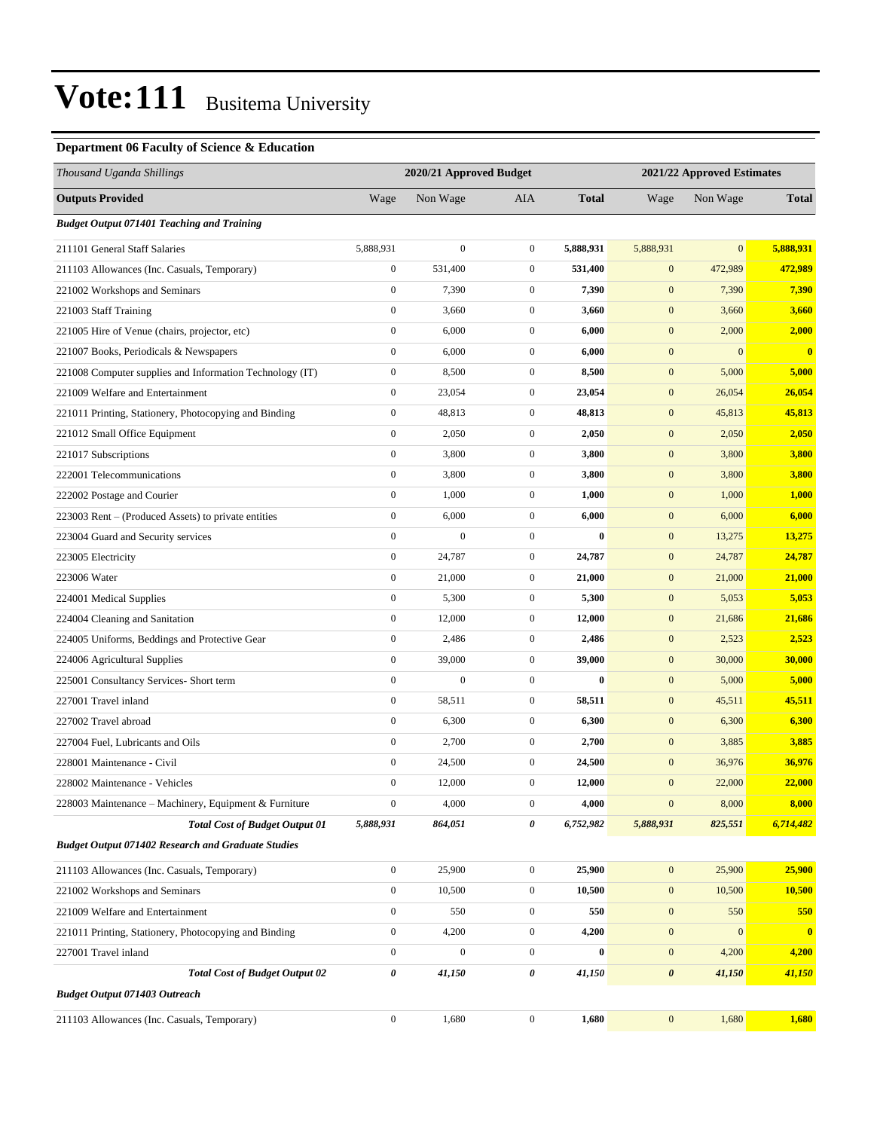#### **Department 06 Faculty of Science & Education**

| Thousand Uganda Shillings                                 | 2020/21 Approved Budget |                  |                  | 2021/22 Approved Estimates |                  |              |                         |
|-----------------------------------------------------------|-------------------------|------------------|------------------|----------------------------|------------------|--------------|-------------------------|
| <b>Outputs Provided</b>                                   | Wage                    | Non Wage         | AIA              | <b>Total</b>               | Wage             | Non Wage     | <b>Total</b>            |
| <b>Budget Output 071401 Teaching and Training</b>         |                         |                  |                  |                            |                  |              |                         |
| 211101 General Staff Salaries                             | 5,888,931               | $\boldsymbol{0}$ | $\mathbf{0}$     | 5,888,931                  | 5,888,931        | $\mathbf{0}$ | 5,888,931               |
| 211103 Allowances (Inc. Casuals, Temporary)               | $\boldsymbol{0}$        | 531,400          | $\overline{0}$   | 531,400                    | $\mathbf{0}$     | 472,989      | 472,989                 |
| 221002 Workshops and Seminars                             | $\boldsymbol{0}$        | 7,390            | $\boldsymbol{0}$ | 7,390                      | $\mathbf{0}$     | 7,390        | 7,390                   |
| 221003 Staff Training                                     | $\boldsymbol{0}$        | 3,660            | $\boldsymbol{0}$ | 3,660                      | $\mathbf{0}$     | 3,660        | 3,660                   |
| 221005 Hire of Venue (chairs, projector, etc)             | $\boldsymbol{0}$        | 6,000            | $\boldsymbol{0}$ | 6,000                      | $\mathbf{0}$     | 2,000        | 2,000                   |
| 221007 Books, Periodicals & Newspapers                    | $\boldsymbol{0}$        | 6,000            | $\boldsymbol{0}$ | 6,000                      | $\mathbf{0}$     | $\mathbf{0}$ | $\bf{0}$                |
| 221008 Computer supplies and Information Technology (IT)  | $\boldsymbol{0}$        | 8,500            | $\boldsymbol{0}$ | 8,500                      | $\mathbf{0}$     | 5,000        | 5,000                   |
| 221009 Welfare and Entertainment                          | $\boldsymbol{0}$        | 23,054           | $\boldsymbol{0}$ | 23,054                     | $\mathbf{0}$     | 26,054       | 26,054                  |
| 221011 Printing, Stationery, Photocopying and Binding     | $\boldsymbol{0}$        | 48,813           | $\boldsymbol{0}$ | 48,813                     | $\mathbf{0}$     | 45,813       | 45,813                  |
| 221012 Small Office Equipment                             | $\boldsymbol{0}$        | 2,050            | $\boldsymbol{0}$ | 2,050                      | $\boldsymbol{0}$ | 2,050        | 2,050                   |
| 221017 Subscriptions                                      | $\boldsymbol{0}$        | 3,800            | $\boldsymbol{0}$ | 3,800                      | $\mathbf{0}$     | 3,800        | 3,800                   |
| 222001 Telecommunications                                 | $\boldsymbol{0}$        | 3,800            | $\boldsymbol{0}$ | 3,800                      | $\mathbf{0}$     | 3,800        | 3,800                   |
| 222002 Postage and Courier                                | $\boldsymbol{0}$        | 1,000            | $\boldsymbol{0}$ | 1,000                      | $\mathbf{0}$     | 1,000        | 1,000                   |
| 223003 Rent – (Produced Assets) to private entities       | $\boldsymbol{0}$        | 6,000            | $\boldsymbol{0}$ | 6,000                      | $\mathbf{0}$     | 6,000        | 6,000                   |
| 223004 Guard and Security services                        | $\boldsymbol{0}$        | $\boldsymbol{0}$ | $\boldsymbol{0}$ | $\bf{0}$                   | $\boldsymbol{0}$ | 13,275       | 13,275                  |
| 223005 Electricity                                        | $\boldsymbol{0}$        | 24,787           | $\boldsymbol{0}$ | 24,787                     | $\mathbf{0}$     | 24,787       | 24,787                  |
| 223006 Water                                              | $\boldsymbol{0}$        | 21,000           | $\boldsymbol{0}$ | 21,000                     | $\mathbf{0}$     | 21,000       | 21,000                  |
| 224001 Medical Supplies                                   | $\boldsymbol{0}$        | 5,300            | $\boldsymbol{0}$ | 5,300                      | $\mathbf{0}$     | 5,053        | 5,053                   |
| 224004 Cleaning and Sanitation                            | $\boldsymbol{0}$        | 12,000           | $\boldsymbol{0}$ | 12,000                     | $\mathbf{0}$     | 21,686       | 21,686                  |
| 224005 Uniforms, Beddings and Protective Gear             | $\boldsymbol{0}$        | 2,486            | $\boldsymbol{0}$ | 2,486                      | $\boldsymbol{0}$ | 2,523        | 2,523                   |
| 224006 Agricultural Supplies                              | $\boldsymbol{0}$        | 39,000           | $\mathbf{0}$     | 39,000                     | $\mathbf{0}$     | 30,000       | 30,000                  |
| 225001 Consultancy Services- Short term                   | $\boldsymbol{0}$        | $\overline{0}$   | $\boldsymbol{0}$ | $\bf{0}$                   | $\mathbf{0}$     | 5,000        | 5,000                   |
| 227001 Travel inland                                      | $\boldsymbol{0}$        | 58,511           | $\boldsymbol{0}$ | 58,511                     | $\mathbf{0}$     | 45,511       | 45,511                  |
| 227002 Travel abroad                                      | $\boldsymbol{0}$        | 6,300            | $\boldsymbol{0}$ | 6,300                      | $\mathbf{0}$     | 6,300        | 6,300                   |
| 227004 Fuel, Lubricants and Oils                          | $\boldsymbol{0}$        | 2,700            | $\boldsymbol{0}$ | 2,700                      | $\mathbf{0}$     | 3,885        | 3,885                   |
| 228001 Maintenance - Civil                                | $\boldsymbol{0}$        | 24,500           | $\mathbf{0}$     | 24,500                     | $\mathbf{0}$     | 36,976       | 36,976                  |
| 228002 Maintenance - Vehicles                             | $\boldsymbol{0}$        | 12,000           | $\overline{0}$   | 12,000                     | $\mathbf{0}$     | 22,000       | 22,000                  |
| 228003 Maintenance - Machinery, Equipment & Furniture     | $\boldsymbol{0}$        | 4,000            | $\boldsymbol{0}$ | 4,000                      | $\boldsymbol{0}$ | 8,000        | 8,000                   |
| <b>Total Cost of Budget Output 01</b>                     | 5,888,931               | 864,051          | 0                | 6,752,982                  | 5,888,931        | 825,551      | 6,714,482               |
| <b>Budget Output 071402 Research and Graduate Studies</b> |                         |                  |                  |                            |                  |              |                         |
| 211103 Allowances (Inc. Casuals, Temporary)               | $\boldsymbol{0}$        | 25,900           | $\boldsymbol{0}$ | 25,900                     | $\boldsymbol{0}$ | 25,900       | 25,900                  |
| 221002 Workshops and Seminars                             | $\boldsymbol{0}$        | 10,500           | $\boldsymbol{0}$ | 10,500                     | $\boldsymbol{0}$ | 10,500       | 10,500                  |
| 221009 Welfare and Entertainment                          | $\boldsymbol{0}$        | 550              | $\boldsymbol{0}$ | 550                        | $\mathbf{0}$     | 550          | 550                     |
| 221011 Printing, Stationery, Photocopying and Binding     | $\boldsymbol{0}$        | 4,200            | $\boldsymbol{0}$ | 4,200                      | $\mathbf{0}$     | $\mathbf{0}$ | $\overline{\mathbf{0}}$ |
| 227001 Travel inland                                      | $\boldsymbol{0}$        | $\boldsymbol{0}$ | $\boldsymbol{0}$ | $\bf{0}$                   | $\boldsymbol{0}$ | 4,200        | 4,200                   |
| <b>Total Cost of Budget Output 02</b>                     | $\pmb{\theta}$          | 41,150           | 0                | 41,150                     | $\pmb{\theta}$   | 41,150       | 41,150                  |
| <b>Budget Output 071403 Outreach</b>                      |                         |                  |                  |                            |                  |              |                         |
| 211103 Allowances (Inc. Casuals, Temporary)               | $\boldsymbol{0}$        | 1,680            | $\mathbf{0}$     | 1,680                      | $\boldsymbol{0}$ | 1,680        | 1,680                   |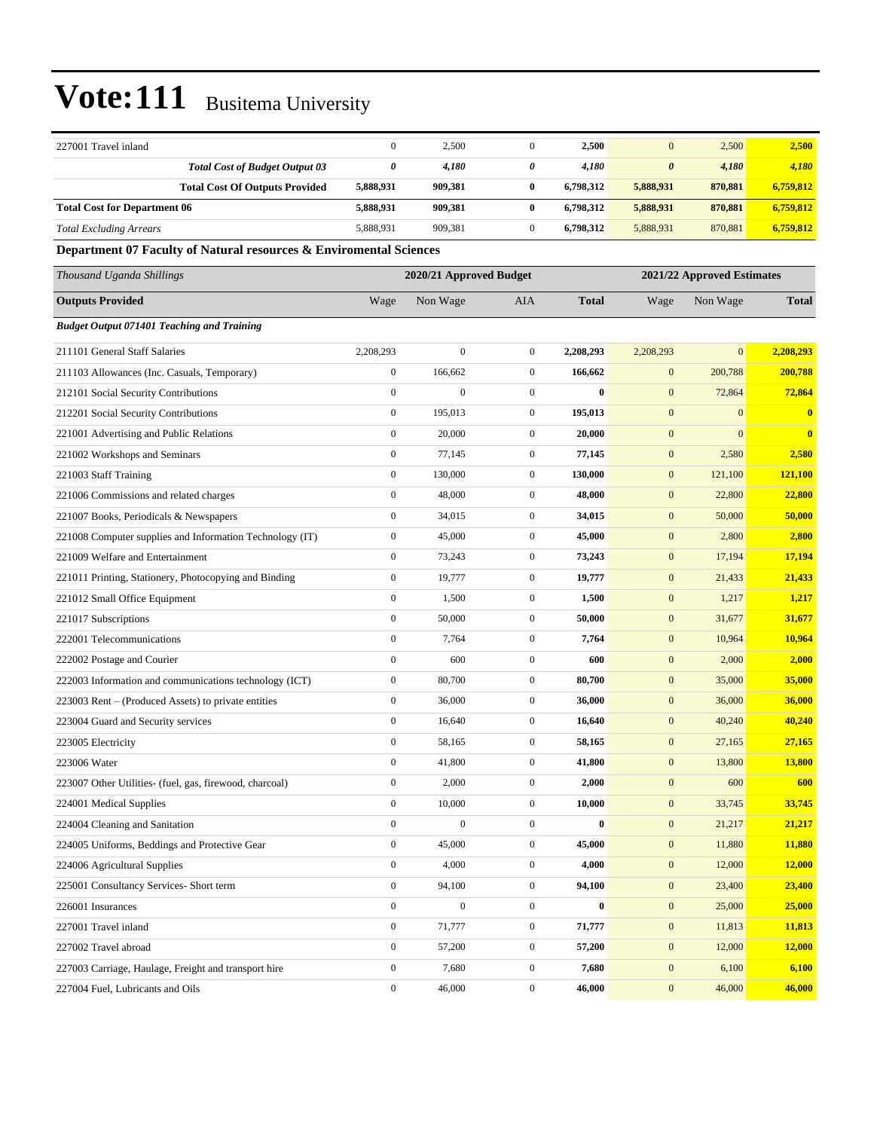| 227001 Travel inland                                               | $\boldsymbol{0}$ | 2,500                   | $\mathbf{0}$     | 2,500        | $\mathbf{0}$          | 2,500                      | 2,500        |
|--------------------------------------------------------------------|------------------|-------------------------|------------------|--------------|-----------------------|----------------------------|--------------|
| <b>Total Cost of Budget Output 03</b>                              | 0                | 4,180                   | 0                | 4,180        | $\boldsymbol{\theta}$ | 4,180                      | 4,180        |
| <b>Total Cost Of Outputs Provided</b>                              | 5,888,931        | 909,381                 | $\bf{0}$         | 6,798,312    | 5,888,931             | 870,881                    | 6,759,812    |
| <b>Total Cost for Department 06</b>                                | 5,888,931        | 909,381                 | $\bf{0}$         | 6,798,312    | 5,888,931             | 870,881                    | 6,759,812    |
| <b>Total Excluding Arrears</b>                                     | 5,888,931        | 909,381                 | $\mathbf{0}$     | 6,798,312    | 5,888,931             | 870,881                    | 6,759,812    |
| Department 07 Faculty of Natural resources & Enviromental Sciences |                  |                         |                  |              |                       |                            |              |
| Thousand Uganda Shillings                                          |                  | 2020/21 Approved Budget |                  |              |                       | 2021/22 Approved Estimates |              |
| <b>Outputs Provided</b>                                            | Wage             | Non Wage                | AIA              | <b>Total</b> | Wage                  | Non Wage                   | <b>Total</b> |
| <b>Budget Output 071401 Teaching and Training</b>                  |                  |                         |                  |              |                       |                            |              |
| 211101 General Staff Salaries                                      | 2,208,293        | $\mathbf{0}$            | $\boldsymbol{0}$ | 2,208,293    | 2,208,293             | $\mathbf{0}$               | 2,208,293    |
| 211103 Allowances (Inc. Casuals, Temporary)                        | $\boldsymbol{0}$ | 166,662                 | $\mathbf{0}$     | 166,662      | $\boldsymbol{0}$      | 200,788                    | 200,788      |
| 212101 Social Security Contributions                               | $\boldsymbol{0}$ | $\boldsymbol{0}$        | $\boldsymbol{0}$ | $\bf{0}$     | $\boldsymbol{0}$      | 72,864                     | 72,864       |
| 212201 Social Security Contributions                               | $\boldsymbol{0}$ | 195,013                 | $\boldsymbol{0}$ | 195,013      | $\mathbf{0}$          | $\mathbf{0}$               | $\bf{0}$     |
| 221001 Advertising and Public Relations                            | $\boldsymbol{0}$ | 20,000                  | $\mathbf{0}$     | 20,000       | $\mathbf{0}$          | $\mathbf{0}$               | $\mathbf{0}$ |
| 221002 Workshops and Seminars                                      | $\boldsymbol{0}$ | 77,145                  | $\boldsymbol{0}$ | 77,145       | $\boldsymbol{0}$      | 2,580                      | 2,580        |
| 221003 Staff Training                                              | $\boldsymbol{0}$ | 130,000                 | $\mathbf{0}$     | 130,000      | $\boldsymbol{0}$      | 121,100                    | 121,100      |
| 221006 Commissions and related charges                             | $\boldsymbol{0}$ | 48,000                  | $\mathbf{0}$     | 48,000       | $\boldsymbol{0}$      | 22,800                     | 22,800       |
| 221007 Books, Periodicals & Newspapers                             | $\boldsymbol{0}$ | 34,015                  | $\boldsymbol{0}$ | 34,015       | $\boldsymbol{0}$      | 50,000                     | 50,000       |
| 221008 Computer supplies and Information Technology (IT)           | $\boldsymbol{0}$ | 45,000                  | $\mathbf{0}$     | 45,000       | $\mathbf{0}$          | 2,800                      | 2,800        |
| 221009 Welfare and Entertainment                                   | $\boldsymbol{0}$ | 73,243                  | $\boldsymbol{0}$ | 73,243       | $\mathbf{0}$          | 17,194                     | 17,194       |
| 221011 Printing, Stationery, Photocopying and Binding              | $\boldsymbol{0}$ | 19,777                  | $\mathbf{0}$     | 19,777       | $\boldsymbol{0}$      | 21,433                     | 21,433       |
| 221012 Small Office Equipment                                      | $\boldsymbol{0}$ | 1,500                   | $\boldsymbol{0}$ | 1,500        | $\boldsymbol{0}$      | 1,217                      | 1,217        |
| 221017 Subscriptions                                               | $\boldsymbol{0}$ | 50,000                  | $\boldsymbol{0}$ | 50,000       | $\boldsymbol{0}$      | 31,677                     | 31,677       |
| 222001 Telecommunications                                          | $\boldsymbol{0}$ | 7,764                   | $\boldsymbol{0}$ | 7,764        | $\mathbf{0}$          | 10,964                     | 10,964       |
| 222002 Postage and Courier                                         | $\boldsymbol{0}$ | 600                     | $\boldsymbol{0}$ | 600          | $\mathbf{0}$          | 2,000                      | 2,000        |
| 222003 Information and communications technology (ICT)             | $\boldsymbol{0}$ | 80,700                  | $\mathbf{0}$     | 80,700       | $\boldsymbol{0}$      | 35,000                     | 35,000       |
| 223003 Rent – (Produced Assets) to private entities                | $\boldsymbol{0}$ | 36,000                  | $\mathbf{0}$     | 36,000       | $\boldsymbol{0}$      | 36,000                     | 36,000       |
| 223004 Guard and Security services                                 | $\boldsymbol{0}$ | 16,640                  | $\boldsymbol{0}$ | 16,640       | $\mathbf{0}$          | 40,240                     | 40,240       |
| 223005 Electricity                                                 | $\boldsymbol{0}$ | 58,165                  | $\mathbf{0}$     | 58,165       | $\mathbf{0}$          | 27,165                     | 27,165       |
| 223006 Water                                                       | $\boldsymbol{0}$ | 41,800                  | $\mathbf{0}$     | 41,800       | $\mathbf{0}$          | 13,800                     | 13,800       |
| 223007 Other Utilities- (fuel, gas, firewood, charcoal)            | $\boldsymbol{0}$ | 2,000                   | $\boldsymbol{0}$ | 2,000        | $\boldsymbol{0}$      | 600                        | 600          |
| 224001 Medical Supplies                                            | $\boldsymbol{0}$ | 10,000                  | $\boldsymbol{0}$ | 10,000       | $\boldsymbol{0}$      | 33,745                     | 33,745       |
| 224004 Cleaning and Sanitation                                     | $\boldsymbol{0}$ | $\boldsymbol{0}$        | $\boldsymbol{0}$ | $\bf{0}$     | $\boldsymbol{0}$      | 21,217                     | 21,217       |
| 224005 Uniforms, Beddings and Protective Gear                      | $\boldsymbol{0}$ | 45,000                  | $\boldsymbol{0}$ | 45,000       | $\boldsymbol{0}$      | 11,880                     | 11,880       |
| 224006 Agricultural Supplies                                       | $\boldsymbol{0}$ | 4,000                   | $\boldsymbol{0}$ | 4,000        | $\boldsymbol{0}$      | 12,000                     | 12,000       |
| 225001 Consultancy Services- Short term                            | $\boldsymbol{0}$ | 94,100                  | $\boldsymbol{0}$ | 94,100       | $\boldsymbol{0}$      | 23,400                     | 23,400       |
| 226001 Insurances                                                  | $\boldsymbol{0}$ | $\boldsymbol{0}$        | $\boldsymbol{0}$ | $\bf{0}$     | $\boldsymbol{0}$      | 25,000                     | 25,000       |
| 227001 Travel inland                                               | $\boldsymbol{0}$ | 71,777                  | $\boldsymbol{0}$ | 71,777       | $\boldsymbol{0}$      | 11,813                     | 11,813       |
| 227002 Travel abroad                                               | $\boldsymbol{0}$ | 57,200                  | $\boldsymbol{0}$ | 57,200       | $\boldsymbol{0}$      | 12,000                     | 12,000       |
| 227003 Carriage, Haulage, Freight and transport hire               | $\boldsymbol{0}$ | 7,680                   | $\boldsymbol{0}$ | 7,680        | $\boldsymbol{0}$      | 6,100                      | 6,100        |
| 227004 Fuel, Lubricants and Oils                                   | $\boldsymbol{0}$ | 46,000                  | $\boldsymbol{0}$ | 46,000       | $\mathbf{0}$          | 46,000                     | 46,000       |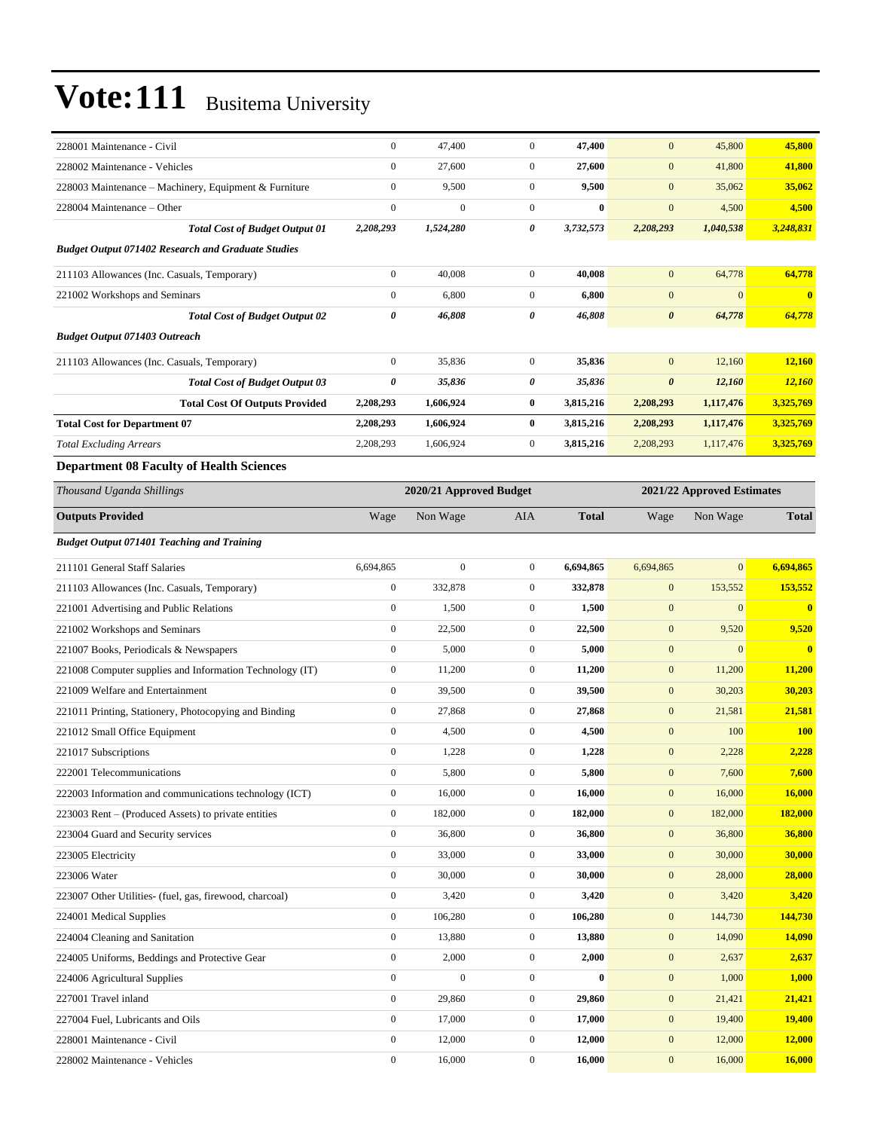| 228001 Maintenance - Civil                                            | $\boldsymbol{0}$       | 47,400                  | $\mathbf{0}$     | 47,400       | $\mathbf{0}$               | 45,800         | 45,800                  |
|-----------------------------------------------------------------------|------------------------|-------------------------|------------------|--------------|----------------------------|----------------|-------------------------|
| 228002 Maintenance - Vehicles                                         | $\boldsymbol{0}$       | 27,600                  | $\boldsymbol{0}$ | 27,600       | $\mathbf{0}$               | 41,800         | 41,800                  |
| 228003 Maintenance - Machinery, Equipment & Furniture                 | $\boldsymbol{0}$       | 9,500                   | $\boldsymbol{0}$ | 9,500        | $\mathbf{0}$               | 35,062         | 35,062                  |
| 228004 Maintenance - Other                                            | $\boldsymbol{0}$       | $\overline{0}$          | $\boldsymbol{0}$ | $\bf{0}$     | $\mathbf{0}$               | 4,500          | 4,500                   |
| <b>Total Cost of Budget Output 01</b>                                 | 2,208,293              | 1,524,280               | 0                | 3,732,573    | 2,208,293                  | 1,040,538      | 3,248,831               |
| <b>Budget Output 071402 Research and Graduate Studies</b>             |                        |                         |                  |              |                            |                |                         |
| 211103 Allowances (Inc. Casuals, Temporary)                           | $\boldsymbol{0}$       | 40,008                  | $\boldsymbol{0}$ | 40,008       | $\mathbf{0}$               | 64,778         | 64,778                  |
| 221002 Workshops and Seminars                                         | $\boldsymbol{0}$       | 6,800                   | $\mathbf{0}$     | 6,800        | $\mathbf{0}$               | $\mathbf{0}$   | $\mathbf{0}$            |
| <b>Total Cost of Budget Output 02</b>                                 | 0                      | 46,808                  | 0                | 46,808       | $\boldsymbol{\theta}$      | 64,778         | 64,778                  |
| <b>Budget Output 071403 Outreach</b>                                  |                        |                         |                  |              |                            |                |                         |
| 211103 Allowances (Inc. Casuals, Temporary)                           | $\boldsymbol{0}$       | 35,836                  | $\boldsymbol{0}$ | 35,836       | $\mathbf{0}$               | 12,160         | 12,160                  |
| <b>Total Cost of Budget Output 03</b>                                 | 0                      | 35,836                  | 0                | 35,836       | $\boldsymbol{\theta}$      | 12,160         | 12,160                  |
|                                                                       |                        | 1,606,924               | $\bf{0}$         | 3,815,216    | 2,208,293                  | 1,117,476      | 3,325,769               |
| <b>Total Cost Of Outputs Provided</b>                                 | 2,208,293              |                         | $\bf{0}$         |              |                            |                | 3,325,769               |
| <b>Total Cost for Department 07</b><br><b>Total Excluding Arrears</b> | 2,208,293<br>2,208,293 | 1,606,924<br>1,606,924  | $\boldsymbol{0}$ | 3,815,216    | 2,208,293<br>2,208,293     | 1,117,476      |                         |
|                                                                       |                        |                         |                  | 3,815,216    |                            | 1,117,476      | 3,325,769               |
| <b>Department 08 Faculty of Health Sciences</b>                       |                        |                         |                  |              |                            |                |                         |
| Thousand Uganda Shillings                                             |                        | 2020/21 Approved Budget |                  |              | 2021/22 Approved Estimates |                |                         |
| <b>Outputs Provided</b>                                               | Wage                   | Non Wage                | AIA              | <b>Total</b> | Wage                       | Non Wage       | <b>Total</b>            |
| <b>Budget Output 071401 Teaching and Training</b>                     |                        |                         |                  |              |                            |                |                         |
| 211101 General Staff Salaries                                         | 6,694,865              | $\mathbf{0}$            | $\boldsymbol{0}$ | 6,694,865    | 6,694,865                  | $\overline{0}$ | 6,694,865               |
| 211103 Allowances (Inc. Casuals, Temporary)                           | $\boldsymbol{0}$       | 332,878                 | $\mathbf{0}$     | 332,878      | $\mathbf{0}$               | 153,552        | 153,552                 |
| 221001 Advertising and Public Relations                               | $\boldsymbol{0}$       | 1,500                   | $\mathbf{0}$     | 1,500        | $\mathbf{0}$               | $\mathbf{0}$   | $\bf{0}$                |
| 221002 Workshops and Seminars                                         | $\boldsymbol{0}$       | 22,500                  | $\mathbf{0}$     | 22,500       | $\boldsymbol{0}$           | 9,520          | 9,520                   |
| 221007 Books, Periodicals & Newspapers                                | $\boldsymbol{0}$       | 5,000                   | $\boldsymbol{0}$ | 5,000        | $\mathbf{0}$               | $\mathbf{0}$   | $\overline{\mathbf{0}}$ |
| 221008 Computer supplies and Information Technology (IT)              | $\boldsymbol{0}$       | 11,200                  | $\mathbf{0}$     | 11,200       | $\mathbf{0}$               | 11,200         | 11,200                  |
| 221009 Welfare and Entertainment                                      | $\boldsymbol{0}$       | 39,500                  | $\mathbf{0}$     | 39,500       | $\mathbf{0}$               | 30,203         | 30,203                  |
| 221011 Printing, Stationery, Photocopying and Binding                 | $\boldsymbol{0}$       | 27,868                  | $\mathbf{0}$     | 27,868       | $\mathbf{0}$               | 21,581         | 21,581                  |
| 221012 Small Office Equipment                                         | $\boldsymbol{0}$       | 4,500                   | $\mathbf{0}$     | 4,500        | $\boldsymbol{0}$           | 100            | <b>100</b>              |
| 221017 Subscriptions                                                  | $\mathbf{0}$           | 1,228                   | $\boldsymbol{0}$ | 1,228        | $\mathbf{0}$               | 2,228          | 2,228                   |
| 222001 Telecommunications                                             | 0                      | 5,800                   | 0                | 5,800        | $\mathbf{0}$               | 7,600          | <b>7,600</b>            |
| 222003 Information and communications technology (ICT)                | $\boldsymbol{0}$       | 16,000                  | $\boldsymbol{0}$ | 16,000       | $\mathbf{0}$               | 16,000         | 16,000                  |
| 223003 Rent – (Produced Assets) to private entities                   | $\boldsymbol{0}$       | 182,000                 | $\boldsymbol{0}$ | 182,000      | $\boldsymbol{0}$           | 182,000        | 182,000                 |
| 223004 Guard and Security services                                    | $\boldsymbol{0}$       | 36,800                  | $\boldsymbol{0}$ | 36,800       | $\mathbf{0}$               | 36,800         | 36,800                  |
| 223005 Electricity                                                    | $\boldsymbol{0}$       | 33,000                  | $\boldsymbol{0}$ | 33,000       | $\boldsymbol{0}$           | 30,000         | 30,000                  |
| 223006 Water                                                          | $\boldsymbol{0}$       | 30,000                  | $\boldsymbol{0}$ | 30,000       | $\mathbf{0}$               | 28,000         | 28,000                  |
| 223007 Other Utilities- (fuel, gas, firewood, charcoal)               | $\boldsymbol{0}$       | 3,420                   | $\boldsymbol{0}$ | 3,420        | $\boldsymbol{0}$           | 3,420          | 3,420                   |
| 224001 Medical Supplies                                               | $\boldsymbol{0}$       | 106,280                 | $\boldsymbol{0}$ | 106,280      | $\bf{0}$                   | 144,730        | 144,730                 |
| 224004 Cleaning and Sanitation                                        | $\boldsymbol{0}$       | 13,880                  | $\boldsymbol{0}$ | 13,880       | $\boldsymbol{0}$           | 14,090         | 14,090                  |
| 224005 Uniforms, Beddings and Protective Gear                         | $\boldsymbol{0}$       | 2,000                   | $\boldsymbol{0}$ | 2,000        | $\boldsymbol{0}$           | 2,637          | 2,637                   |
| 224006 Agricultural Supplies                                          | $\boldsymbol{0}$       | $\boldsymbol{0}$        | $\boldsymbol{0}$ | $\pmb{0}$    | $\boldsymbol{0}$           | 1,000          | 1,000                   |
| 227001 Travel inland                                                  | $\boldsymbol{0}$       | 29,860                  | $\boldsymbol{0}$ | 29,860       | $\boldsymbol{0}$           | 21,421         | 21,421                  |
| 227004 Fuel, Lubricants and Oils                                      | $\boldsymbol{0}$       | 17,000                  | $\boldsymbol{0}$ | 17,000       | $\bf{0}$                   | 19,400         | 19,400                  |
| 228001 Maintenance - Civil                                            | $\boldsymbol{0}$       | 12,000                  | $\boldsymbol{0}$ | 12,000       | $\mathbf{0}$               | 12,000         | 12,000                  |
| 228002 Maintenance - Vehicles                                         | $\boldsymbol{0}$       | 16,000                  | $\boldsymbol{0}$ | 16,000       | $\boldsymbol{0}$           | 16,000         | 16,000                  |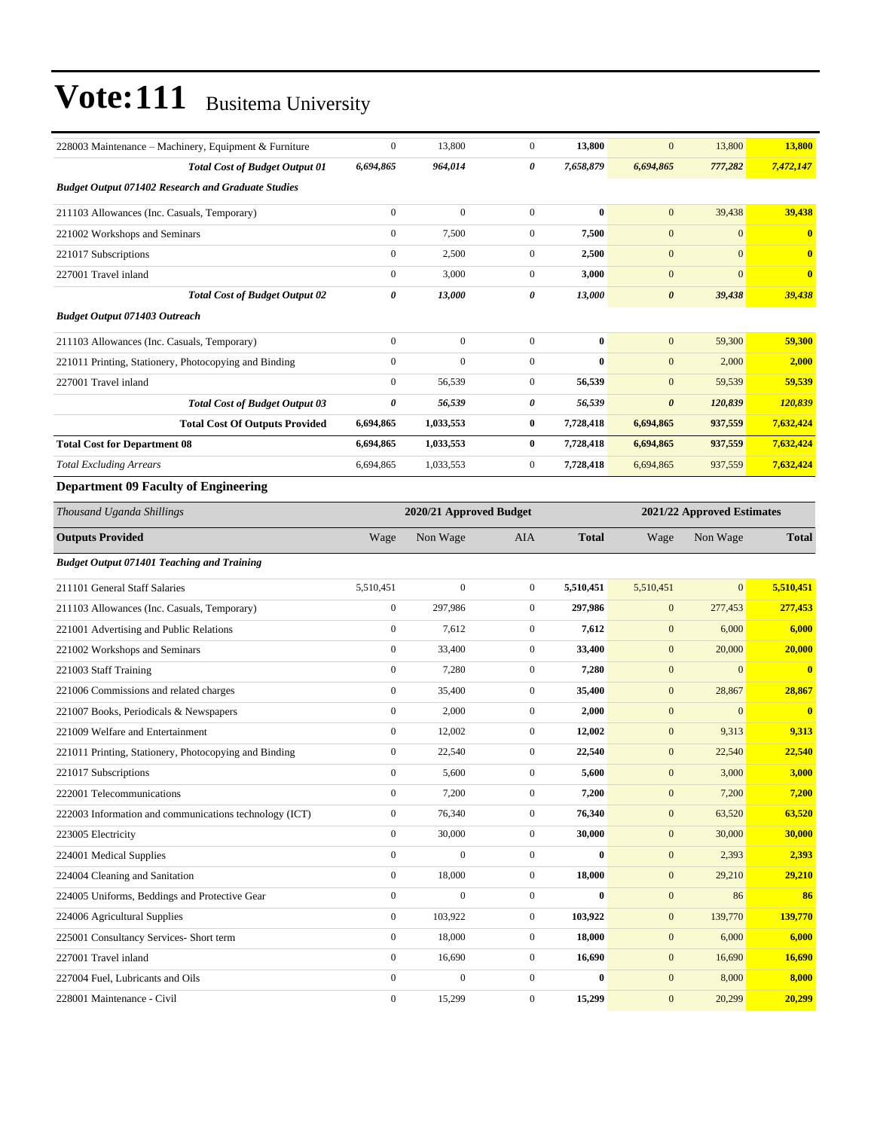| 228003 Maintenance – Machinery, Equipment & Furniture     | $\boldsymbol{0}$ | 13,800                  | $\boldsymbol{0}$ | 13,800       | $\mathbf{0}$          | 13,800                     | 13,800                  |
|-----------------------------------------------------------|------------------|-------------------------|------------------|--------------|-----------------------|----------------------------|-------------------------|
| <b>Total Cost of Budget Output 01</b>                     | 6,694,865        | 964,014                 | 0                | 7,658,879    | 6,694,865             | 777,282                    | 7,472,147               |
| <b>Budget Output 071402 Research and Graduate Studies</b> |                  |                         |                  |              |                       |                            |                         |
| 211103 Allowances (Inc. Casuals, Temporary)               | $\boldsymbol{0}$ | $\boldsymbol{0}$        | $\boldsymbol{0}$ | $\bf{0}$     | $\mathbf{0}$          | 39,438                     | 39,438                  |
| 221002 Workshops and Seminars                             | $\boldsymbol{0}$ | 7,500                   | $\overline{0}$   | 7,500        | $\mathbf{0}$          | $\overline{0}$             | $\bf{0}$                |
| 221017 Subscriptions                                      | $\mathbf{0}$     | 2,500                   | $\mathbf{0}$     | 2,500        | $\mathbf{0}$          | $\overline{0}$             | $\bf{0}$                |
| 227001 Travel inland                                      | $\boldsymbol{0}$ | 3,000                   | $\mathbf{0}$     | 3,000        | $\mathbf{0}$          | $\overline{0}$             | $\bf{0}$                |
| <b>Total Cost of Budget Output 02</b>                     | $\pmb{\theta}$   | 13,000                  | 0                | 13,000       | $\boldsymbol{\theta}$ | 39,438                     | 39,438                  |
| <b>Budget Output 071403 Outreach</b>                      |                  |                         |                  |              |                       |                            |                         |
| 211103 Allowances (Inc. Casuals, Temporary)               | $\boldsymbol{0}$ | $\mathbf{0}$            | $\boldsymbol{0}$ | $\bf{0}$     | $\mathbf{0}$          | 59,300                     | 59,300                  |
| 221011 Printing, Stationery, Photocopying and Binding     | $\boldsymbol{0}$ | $\mathbf{0}$            | $\boldsymbol{0}$ | $\bf{0}$     | $\mathbf{0}$          | 2,000                      | 2,000                   |
| 227001 Travel inland                                      | $\boldsymbol{0}$ | 56,539                  | $\mathbf{0}$     | 56,539       | $\mathbf{0}$          | 59,539                     | 59,539                  |
| <b>Total Cost of Budget Output 03</b>                     | 0                | 56,539                  | 0                | 56,539       | $\boldsymbol{\theta}$ | 120,839                    | 120,839                 |
| <b>Total Cost Of Outputs Provided</b>                     | 6,694,865        | 1,033,553               | $\bf{0}$         | 7,728,418    | 6,694,865             | 937,559                    | 7,632,424               |
| <b>Total Cost for Department 08</b>                       | 6,694,865        | 1,033,553               | $\bf{0}$         | 7,728,418    | 6,694,865             | 937,559                    | 7,632,424               |
| <b>Total Excluding Arrears</b>                            | 6,694,865        | 1,033,553               | $\boldsymbol{0}$ | 7,728,418    | 6,694,865             | 937,559                    | 7,632,424               |
| <b>Department 09 Faculty of Engineering</b>               |                  |                         |                  |              |                       |                            |                         |
| Thousand Uganda Shillings                                 |                  | 2020/21 Approved Budget |                  |              |                       | 2021/22 Approved Estimates |                         |
| <b>Outputs Provided</b>                                   | Wage             | Non Wage                | <b>AIA</b>       | <b>Total</b> | Wage                  | Non Wage                   | Total                   |
| <b>Budget Output 071401 Teaching and Training</b>         |                  |                         |                  |              |                       |                            |                         |
| 211101 General Staff Salaries                             | 5,510,451        | $\boldsymbol{0}$        | $\boldsymbol{0}$ | 5,510,451    | 5,510,451             | $\mathbf{0}$               | 5,510,451               |
| 211103 Allowances (Inc. Casuals, Temporary)               | $\boldsymbol{0}$ | 297,986                 | $\boldsymbol{0}$ | 297,986      | $\boldsymbol{0}$      | 277,453                    | 277,453                 |
| 221001 Advertising and Public Relations                   | $\boldsymbol{0}$ | 7,612                   | $\boldsymbol{0}$ | 7,612        | $\mathbf{0}$          | 6,000                      | 6,000                   |
| 221002 Workshops and Seminars                             | $\boldsymbol{0}$ | 33,400                  | $\mathbf{0}$     | 33,400       | $\mathbf{0}$          | 20,000                     | 20,000                  |
| 221003 Staff Training                                     | $\boldsymbol{0}$ | 7,280                   | $\mathbf{0}$     | 7,280        | $\mathbf{0}$          | $\mathbf{0}$               | $\overline{\mathbf{0}}$ |
| 221006 Commissions and related charges                    | $\boldsymbol{0}$ | 35,400                  | $\mathbf{0}$     | 35,400       | $\boldsymbol{0}$      | 28,867                     | 28,867                  |
| 221007 Books, Periodicals & Newspapers                    | $\boldsymbol{0}$ | 2,000                   | $\boldsymbol{0}$ | 2,000        | $\mathbf{0}$          | $\boldsymbol{0}$           | $\overline{\mathbf{0}}$ |
| 221009 Welfare and Entertainment                          | $\boldsymbol{0}$ | 12,002                  | $\boldsymbol{0}$ | 12,002       | $\mathbf{0}$          | 9,313                      | 9,313                   |
| 221011 Printing, Stationery, Photocopying and Binding     | $\boldsymbol{0}$ | 22,540                  | $\boldsymbol{0}$ | 22,540       | $\mathbf{0}$          | 22,540                     | 22,540                  |
| 221017 Subscriptions                                      | $\boldsymbol{0}$ | 5,600                   | $\boldsymbol{0}$ | 5,600        | $\boldsymbol{0}$      | 3,000                      | 3,000                   |
| 222001 Telecommunications                                 | $\mathbf{0}$     | 7,200                   | $\overline{0}$   | 7,200        | $\boldsymbol{0}$      | 7,200                      | 7,200                   |
| 222003 Information and communications technology (ICT)    | $\boldsymbol{0}$ | 76,340                  | $\mathbf{0}$     | 76,340       | $\boldsymbol{0}$      | 63,520                     | 63,520                  |
| 223005 Electricity                                        | $\boldsymbol{0}$ | 30,000                  | $\boldsymbol{0}$ | 30,000       | $\boldsymbol{0}$      | 30,000                     | 30,000                  |
| 224001 Medical Supplies                                   | $\boldsymbol{0}$ | $\boldsymbol{0}$        | $\boldsymbol{0}$ | $\bf{0}$     | $\boldsymbol{0}$      | 2,393                      | 2,393                   |
| 224004 Cleaning and Sanitation                            | $\boldsymbol{0}$ | 18,000                  | $\boldsymbol{0}$ | 18,000       | $\boldsymbol{0}$      | 29,210                     | 29,210                  |
| 224005 Uniforms, Beddings and Protective Gear             | $\boldsymbol{0}$ | $\mathbf{0}$            | $\mathbf{0}$     | $\bf{0}$     | $\mathbf{0}$          | 86                         | 86                      |
| 224006 Agricultural Supplies                              | $\boldsymbol{0}$ | 103,922                 | $\mathbf{0}$     | 103,922      | $\boldsymbol{0}$      | 139,770                    | 139,770                 |
| 225001 Consultancy Services- Short term                   | $\boldsymbol{0}$ | 18,000                  | $\boldsymbol{0}$ | 18,000       | $\boldsymbol{0}$      | 6,000                      | 6,000                   |
| 227001 Travel inland                                      | $\boldsymbol{0}$ | 16,690                  | $\boldsymbol{0}$ | 16,690       | $\boldsymbol{0}$      | 16,690                     | 16,690                  |
| 227004 Fuel, Lubricants and Oils                          | $\boldsymbol{0}$ | $\boldsymbol{0}$        | $\boldsymbol{0}$ | $\bf{0}$     | $\boldsymbol{0}$      | 8,000                      | 8,000                   |
| 228001 Maintenance - Civil                                | $\boldsymbol{0}$ | 15,299                  | $\boldsymbol{0}$ | 15,299       | $\mathbf{0}$          | 20,299                     | 20,299                  |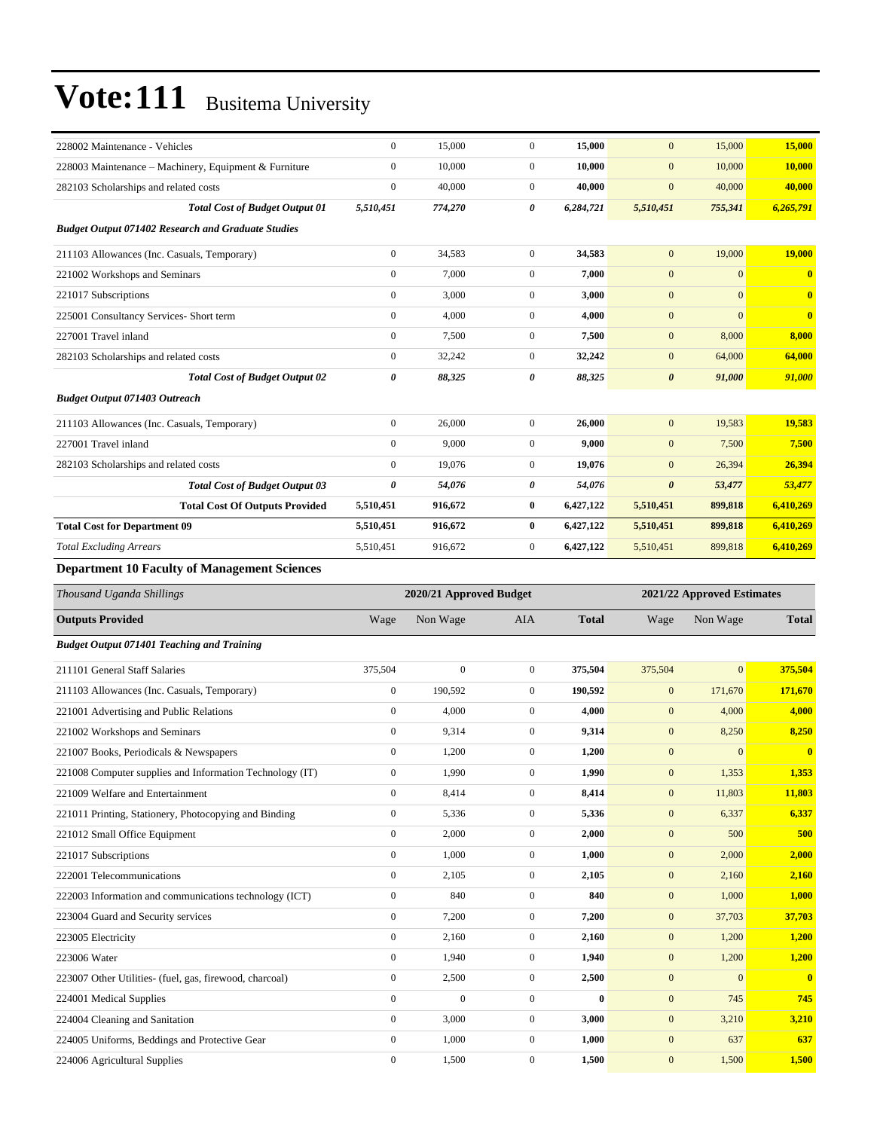| 228002 Maintenance - Vehicles                             | $\boldsymbol{0}$ | 15,000                  | $\boldsymbol{0}$ | 15,000       | $\mathbf{0}$          | 15,000                     | 15,000        |
|-----------------------------------------------------------|------------------|-------------------------|------------------|--------------|-----------------------|----------------------------|---------------|
| 228003 Maintenance – Machinery, Equipment & Furniture     | $\boldsymbol{0}$ | 10,000                  | $\boldsymbol{0}$ | 10,000       | $\mathbf{0}$          | 10,000                     | <b>10,000</b> |
| 282103 Scholarships and related costs                     | $\boldsymbol{0}$ | 40,000                  | $\boldsymbol{0}$ | 40,000       | $\mathbf{0}$          | 40,000                     | 40,000        |
| <b>Total Cost of Budget Output 01</b>                     | 5,510,451        | 774,270                 | 0                | 6,284,721    | 5,510,451             | 755,341                    | 6,265,791     |
| <b>Budget Output 071402 Research and Graduate Studies</b> |                  |                         |                  |              |                       |                            |               |
| 211103 Allowances (Inc. Casuals, Temporary)               | $\boldsymbol{0}$ | 34,583                  | $\mathbf{0}$     | 34,583       | $\mathbf{0}$          | 19,000                     | 19,000        |
| 221002 Workshops and Seminars                             | $\boldsymbol{0}$ | 7,000                   | $\boldsymbol{0}$ | 7,000        | $\boldsymbol{0}$      | $\boldsymbol{0}$           | $\mathbf{0}$  |
| 221017 Subscriptions                                      | $\boldsymbol{0}$ | 3,000                   | $\boldsymbol{0}$ | 3,000        | $\boldsymbol{0}$      | $\mathbf{0}$               | $\bf{0}$      |
| 225001 Consultancy Services- Short term                   | $\boldsymbol{0}$ | 4,000                   | $\boldsymbol{0}$ | 4,000        | $\mathbf{0}$          | $\boldsymbol{0}$           | $\bf{0}$      |
| 227001 Travel inland                                      | $\boldsymbol{0}$ | 7,500                   | $\boldsymbol{0}$ | 7,500        | $\mathbf{0}$          | 8,000                      | 8,000         |
| 282103 Scholarships and related costs                     | $\boldsymbol{0}$ | 32,242                  | $\boldsymbol{0}$ | 32,242       | $\mathbf{0}$          | 64,000                     | 64,000        |
| <b>Total Cost of Budget Output 02</b>                     | 0                | 88,325                  | 0                | 88,325       | $\boldsymbol{\theta}$ | 91,000                     | 91,000        |
| <b>Budget Output 071403 Outreach</b>                      |                  |                         |                  |              |                       |                            |               |
| 211103 Allowances (Inc. Casuals, Temporary)               | $\boldsymbol{0}$ | 26,000                  | $\boldsymbol{0}$ | 26,000       | $\mathbf{0}$          | 19,583                     | 19,583        |
| 227001 Travel inland                                      | $\boldsymbol{0}$ | 9,000                   | $\boldsymbol{0}$ | 9,000        | $\mathbf{0}$          | 7,500                      | 7,500         |
| 282103 Scholarships and related costs                     | $\boldsymbol{0}$ | 19,076                  | $\boldsymbol{0}$ | 19,076       | $\mathbf{0}$          | 26,394                     | 26,394        |
| <b>Total Cost of Budget Output 03</b>                     | 0                | 54,076                  | 0                | 54,076       | $\boldsymbol{\theta}$ | 53,477                     | 53,477        |
| <b>Total Cost Of Outputs Provided</b>                     | 5,510,451        | 916,672                 | 0                | 6,427,122    | 5,510,451             | 899,818                    | 6,410,269     |
| <b>Total Cost for Department 09</b>                       | 5,510,451        | 916,672                 | $\bf{0}$         | 6,427,122    | 5,510,451             | 899,818                    | 6,410,269     |
| <b>Total Excluding Arrears</b>                            | 5,510,451        | 916,672                 | $\boldsymbol{0}$ | 6,427,122    | 5,510,451             | 899,818                    | 6,410,269     |
| <b>Department 10 Faculty of Management Sciences</b>       |                  |                         |                  |              |                       |                            |               |
| Thousand Uganda Shillings                                 |                  | 2020/21 Approved Budget |                  |              |                       | 2021/22 Approved Estimates |               |
|                                                           |                  |                         |                  |              |                       |                            |               |
| <b>Outputs Provided</b>                                   | Wage             | Non Wage                | AIA              | <b>Total</b> | Wage                  | Non Wage                   | <b>Total</b>  |
| <b>Budget Output 071401 Teaching and Training</b>         |                  |                         |                  |              |                       |                            |               |
| 211101 General Staff Salaries                             | 375,504          | $\boldsymbol{0}$        | $\boldsymbol{0}$ | 375,504      | 375,504               | $\mathbf{0}$               | 375,504       |
| 211103 Allowances (Inc. Casuals, Temporary)               | $\boldsymbol{0}$ | 190,592                 | $\boldsymbol{0}$ | 190,592      | $\mathbf{0}$          | 171,670                    | 171,670       |
| 221001 Advertising and Public Relations                   | $\boldsymbol{0}$ | 4,000                   | $\boldsymbol{0}$ | 4,000        | $\mathbf{0}$          | 4,000                      | 4,000         |
| 221002 Workshops and Seminars                             | $\boldsymbol{0}$ | 9,314                   | $\boldsymbol{0}$ | 9,314        | $\boldsymbol{0}$      | 8,250                      | 8,250         |
| 221007 Books, Periodicals & Newspapers                    | $\boldsymbol{0}$ | 1,200                   | $\boldsymbol{0}$ | 1,200        | $\mathbf{0}$          | $\boldsymbol{0}$           | $\bf{0}$      |
| 221008 Computer supplies and Information Technology (IT)  | $\boldsymbol{0}$ | 1,990                   | 0                | 1,990        | $\bf{0}$              | 1,353                      | 1,353         |
| 221009 Welfare and Entertainment                          | $\boldsymbol{0}$ | 8,414                   | $\boldsymbol{0}$ | 8,414        | $\mathbf{0}$          | 11,803                     | 11,803        |
| 221011 Printing, Stationery, Photocopying and Binding     | $\boldsymbol{0}$ | 5,336                   | $\boldsymbol{0}$ | 5,336        | $\mathbf{0}$          | 6,337                      | 6,337         |
| 221012 Small Office Equipment                             | $\boldsymbol{0}$ | 2,000                   | $\boldsymbol{0}$ | 2,000        | $\boldsymbol{0}$      | 500                        | 500           |
| 221017 Subscriptions                                      | $\boldsymbol{0}$ | 1,000                   | $\boldsymbol{0}$ | 1,000        | $\mathbf{0}$          | 2,000                      | 2,000         |
| 222001 Telecommunications                                 | $\boldsymbol{0}$ | 2,105                   | 0                | 2,105        | $\mathbf{0}$          | 2,160                      | 2,160         |
| 222003 Information and communications technology (ICT)    | $\boldsymbol{0}$ | 840                     | $\boldsymbol{0}$ | 840          | $\boldsymbol{0}$      | 1,000                      | <b>1,000</b>  |
| 223004 Guard and Security services                        | $\boldsymbol{0}$ | 7,200                   | $\boldsymbol{0}$ | 7,200        | $\mathbf{0}$          | 37,703                     | 37,703        |
| 223005 Electricity                                        | $\boldsymbol{0}$ | 2,160                   | 0                | 2,160        | $\mathbf{0}$          | 1,200                      | <b>1,200</b>  |
| 223006 Water                                              | $\boldsymbol{0}$ | 1,940                   | $\boldsymbol{0}$ | 1,940        | $\mathbf{0}$          | 1,200                      | 1,200         |
| 223007 Other Utilities- (fuel, gas, firewood, charcoal)   | $\boldsymbol{0}$ | 2,500                   | 0                | 2,500        | $\mathbf{0}$          | $\boldsymbol{0}$           | $\mathbf{0}$  |
| 224001 Medical Supplies                                   | $\boldsymbol{0}$ | $\boldsymbol{0}$        | $\boldsymbol{0}$ | $\bf{0}$     | $\boldsymbol{0}$      | 745                        | 745           |
| 224004 Cleaning and Sanitation                            | $\boldsymbol{0}$ | 3,000                   | $\boldsymbol{0}$ | 3,000        | $\mathbf{0}$          | 3,210                      | 3,210         |
| 224005 Uniforms, Beddings and Protective Gear             | $\boldsymbol{0}$ | 1,000                   | $\boldsymbol{0}$ | 1,000        | $\boldsymbol{0}$      | 637                        | 637           |